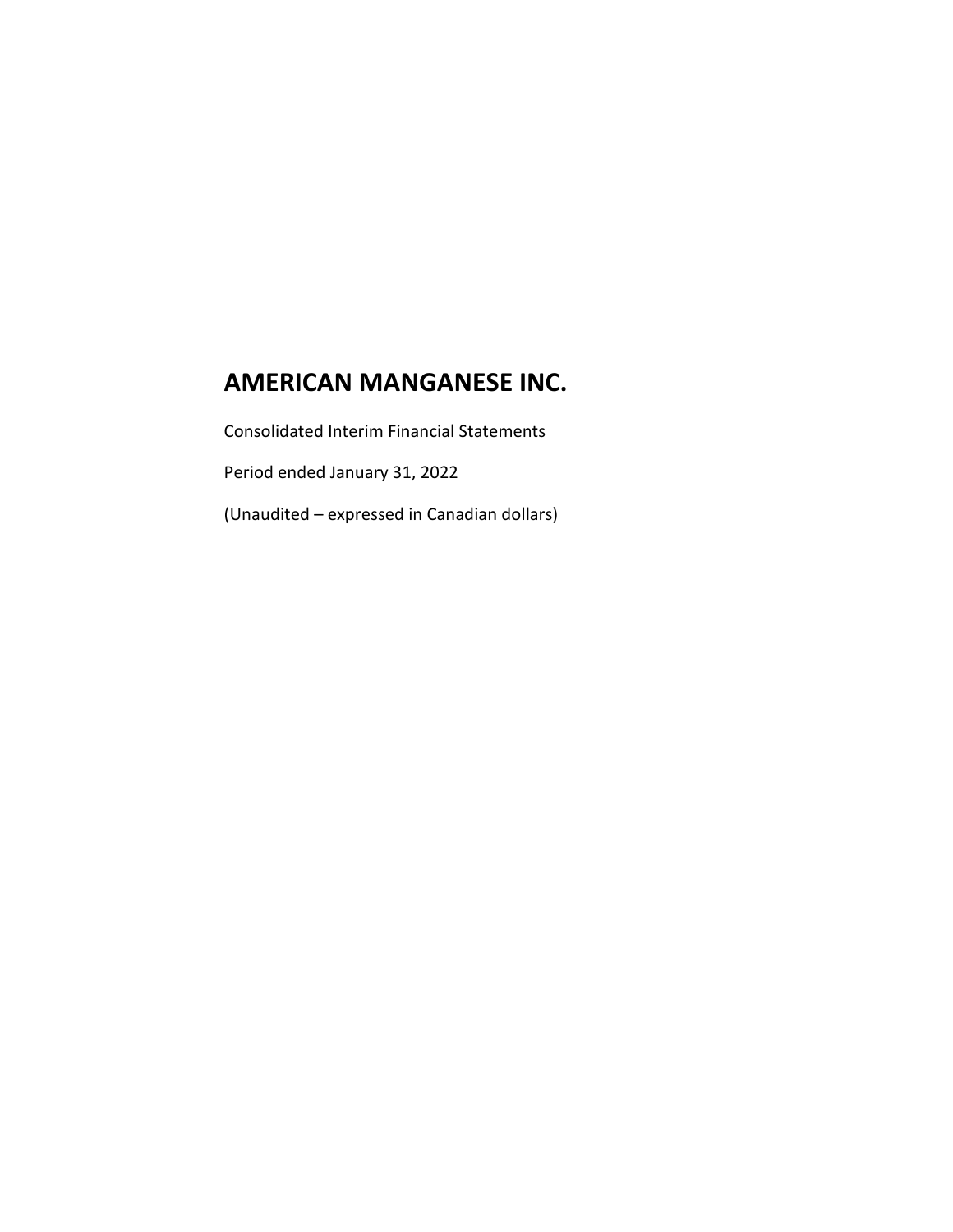Consolidated Interim Financial Statements

Period ended January 31, 2022

(Unaudited – expressed in Canadian dollars)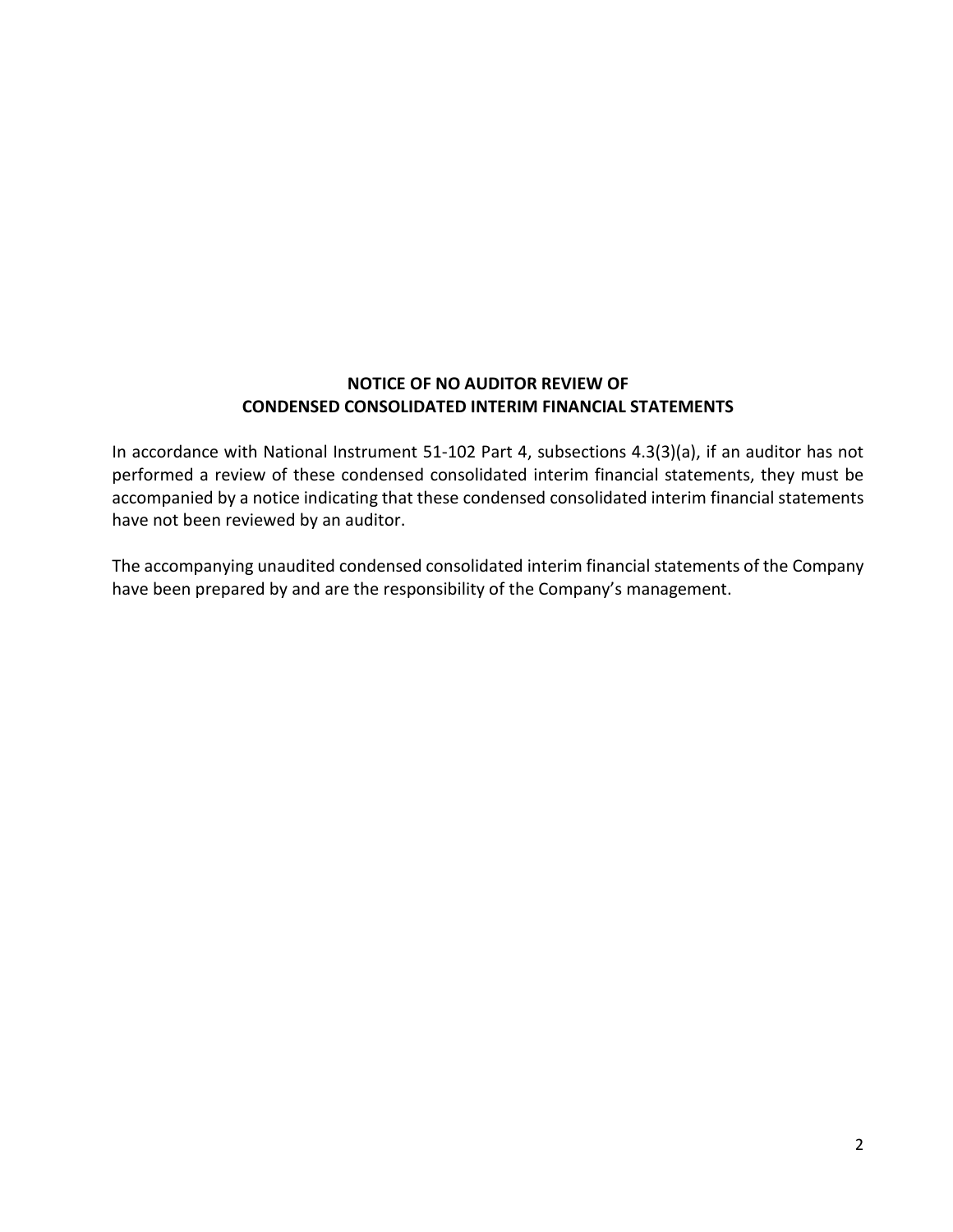### **NOTICE OF NO AUDITOR REVIEW OF CONDENSED CONSOLIDATED INTERIM FINANCIAL STATEMENTS**

In accordance with National Instrument 51-102 Part 4, subsections 4.3(3)(a), if an auditor has not performed a review of these condensed consolidated interim financial statements, they must be accompanied by a notice indicating that these condensed consolidated interim financial statements have not been reviewed by an auditor.

The accompanying unaudited condensed consolidated interim financial statements of the Company have been prepared by and are the responsibility of the Company's management.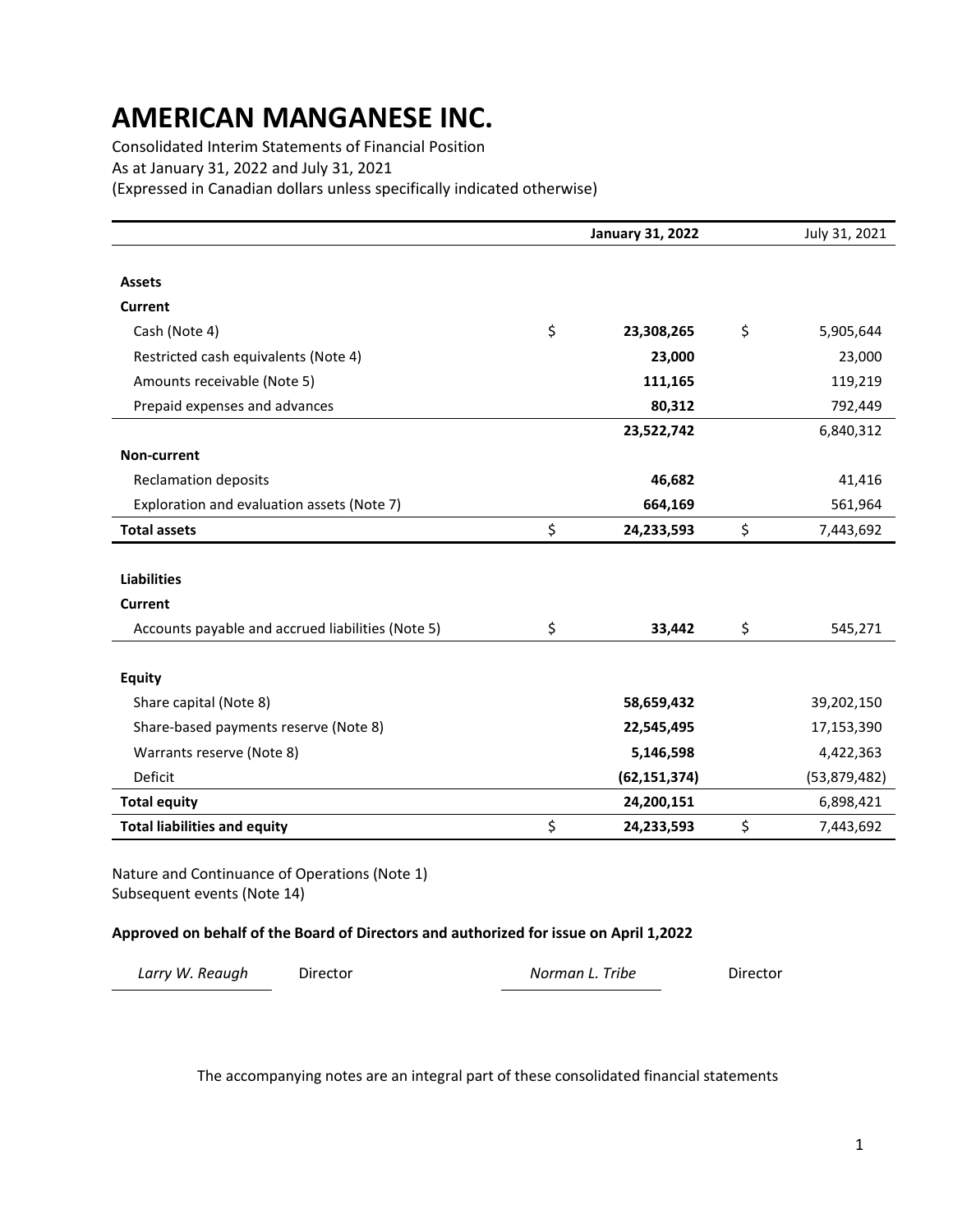Consolidated Interim Statements of Financial Position As at January 31, 2022 and July 31, 2021 (Expressed in Canadian dollars unless specifically indicated otherwise)

|                                                   | <b>January 31, 2022</b> | July 31, 2021   |
|---------------------------------------------------|-------------------------|-----------------|
|                                                   |                         |                 |
| <b>Assets</b>                                     |                         |                 |
| <b>Current</b>                                    |                         |                 |
| Cash (Note 4)                                     | \$<br>23,308,265        | \$<br>5,905,644 |
| Restricted cash equivalents (Note 4)              | 23,000                  | 23,000          |
| Amounts receivable (Note 5)                       | 111,165                 | 119,219         |
| Prepaid expenses and advances                     | 80,312                  | 792,449         |
|                                                   | 23,522,742              | 6,840,312       |
| Non-current                                       |                         |                 |
| <b>Reclamation deposits</b>                       | 46,682                  | 41,416          |
| Exploration and evaluation assets (Note 7)        | 664,169                 | 561,964         |
| <b>Total assets</b>                               | \$<br>24,233,593        | \$<br>7,443,692 |
|                                                   |                         |                 |
| <b>Liabilities</b>                                |                         |                 |
| <b>Current</b>                                    |                         |                 |
| Accounts payable and accrued liabilities (Note 5) | \$<br>33,442            | \$<br>545,271   |
|                                                   |                         |                 |
| <b>Equity</b>                                     |                         |                 |
| Share capital (Note 8)                            | 58,659,432              | 39,202,150      |
| Share-based payments reserve (Note 8)             | 22,545,495              | 17,153,390      |
| Warrants reserve (Note 8)                         | 5,146,598               | 4,422,363       |
| Deficit                                           | (62, 151, 374)          | (53,879,482)    |
| <b>Total equity</b>                               | 24,200,151              | 6,898,421       |
| <b>Total liabilities and equity</b>               | \$<br>24,233,593        | \$<br>7,443,692 |

Nature and Continuance of Operations (Note 1) Subsequent events (Note 14)

#### **Approved on behalf of the Board of Directors and authorized for issue on April 1,2022**

| Larry W. Reaugh | Director | Norman L. Tribe | Director |
|-----------------|----------|-----------------|----------|
|                 |          |                 |          |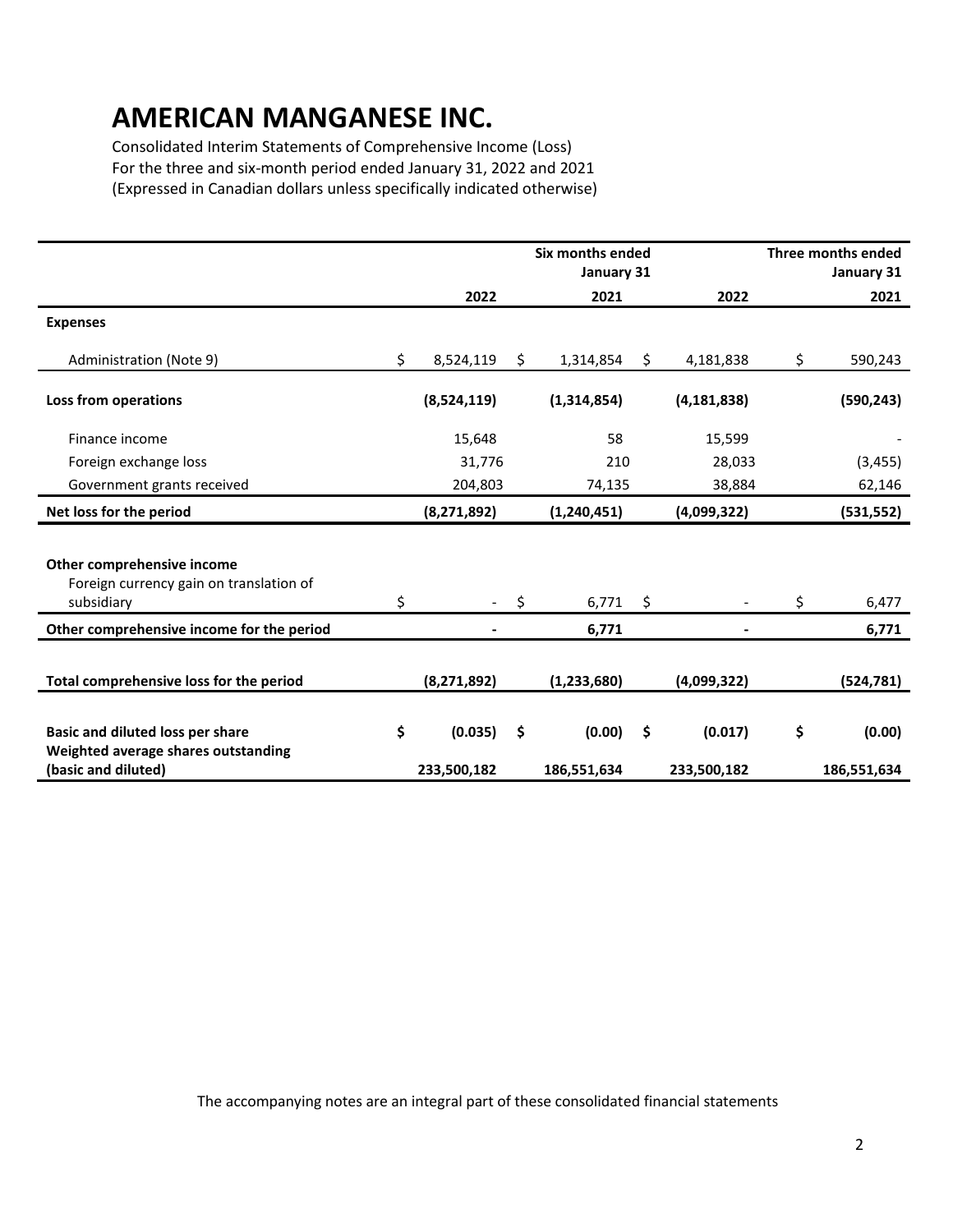Consolidated Interim Statements of Comprehensive Income (Loss) For the three and six-month period ended January 31, 2022 and 2021 (Expressed in Canadian dollars unless specifically indicated otherwise)

|                                                                                                       |                              | Six months ended<br>January 31 |                              | Three months ended<br>January 31 |
|-------------------------------------------------------------------------------------------------------|------------------------------|--------------------------------|------------------------------|----------------------------------|
|                                                                                                       | 2022                         | 2021                           | 2022                         | 2021                             |
| <b>Expenses</b>                                                                                       |                              |                                |                              |                                  |
| Administration (Note 9)                                                                               | \$<br>8,524,119              | \$<br>1,314,854                | \$<br>4,181,838              | \$<br>590,243                    |
| Loss from operations                                                                                  | (8,524,119)                  | (1,314,854)                    | (4, 181, 838)                | (590, 243)                       |
| Finance income                                                                                        | 15,648                       | 58                             | 15,599                       |                                  |
| Foreign exchange loss                                                                                 | 31,776                       | 210                            | 28,033                       | (3, 455)                         |
| Government grants received                                                                            | 204,803                      | 74,135                         | 38,884                       | 62,146                           |
| Net loss for the period                                                                               | (8, 271, 892)                | (1,240,451)                    | (4,099,322)                  | (531, 552)                       |
| Other comprehensive income<br>Foreign currency gain on translation of<br>subsidiary                   | \$                           | \$<br>6,771                    | \$                           | \$<br>6,477                      |
| Other comprehensive income for the period                                                             |                              | 6,771                          |                              | 6,771                            |
| Total comprehensive loss for the period                                                               | (8, 271, 892)                | (1, 233, 680)                  | (4,099,322)                  | (524, 781)                       |
| <b>Basic and diluted loss per share</b><br>Weighted average shares outstanding<br>(basic and diluted) | \$<br>(0.035)<br>233,500,182 | \$<br>(0.00)<br>186,551,634    | \$<br>(0.017)<br>233,500,182 | \$<br>(0.00)<br>186,551,634      |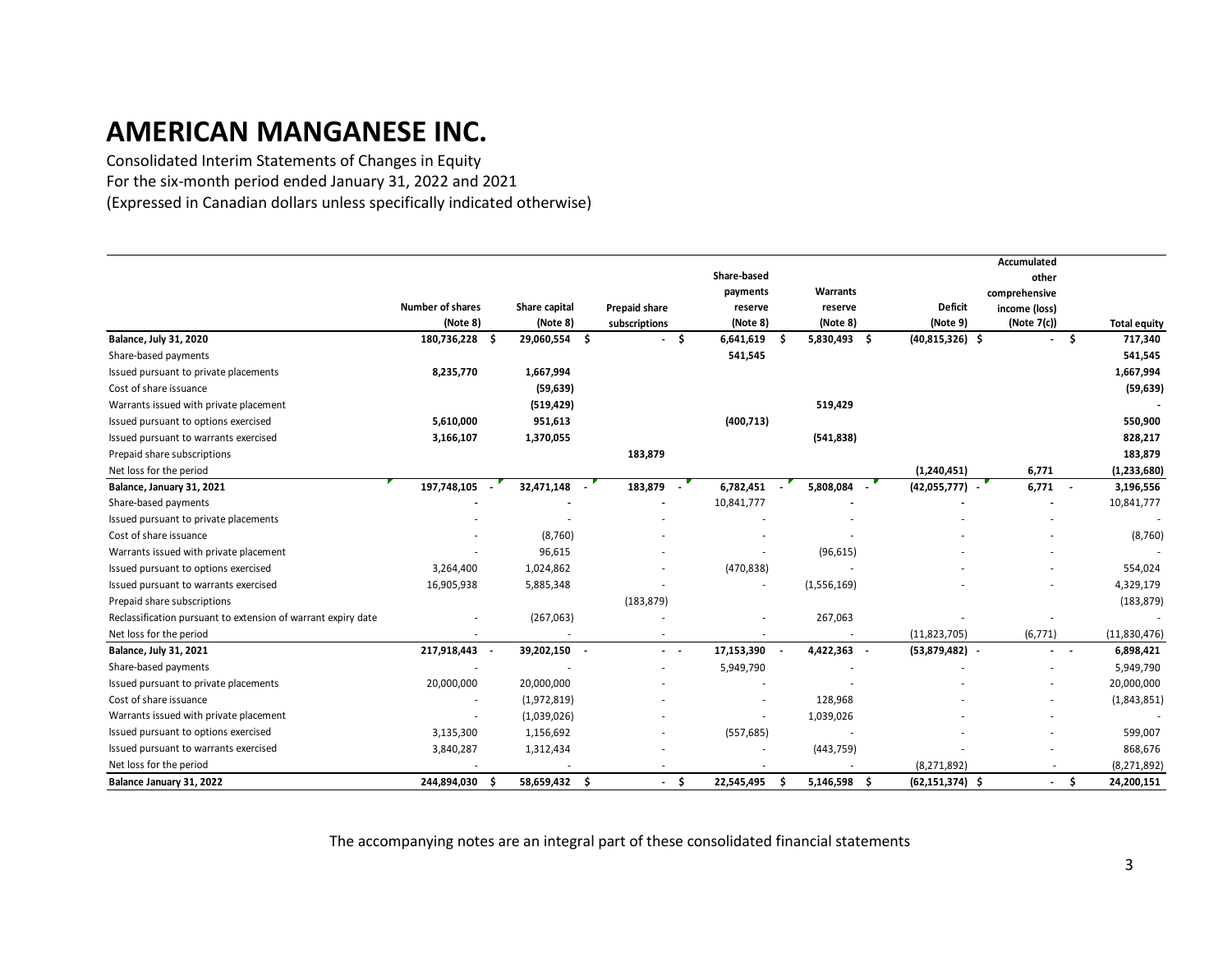Consolidated Interim Statements of Changes in Equity For the six-month period ended January 31, 2022 and 2021 (Expressed in Canadian dollars unless specifically indicated otherwise)

|                                                               |                         |     |               |                          |     |             |     |              |                     | Accumulated   |                |                     |
|---------------------------------------------------------------|-------------------------|-----|---------------|--------------------------|-----|-------------|-----|--------------|---------------------|---------------|----------------|---------------------|
|                                                               |                         |     |               |                          |     | Share-based |     |              |                     | other         |                |                     |
|                                                               |                         |     |               |                          |     | payments    |     | Warrants     |                     | comprehensive |                |                     |
|                                                               | <b>Number of shares</b> |     | Share capital | <b>Prepaid share</b>     |     | reserve     |     | reserve      | <b>Deficit</b>      | income (loss) |                |                     |
|                                                               | (Note 8)                |     | (Note 8)      | subscriptions            |     | (Note 8)    |     | (Note 8)     | (Note 9)            | (Note 7(c))   |                | <b>Total equity</b> |
| <b>Balance, July 31, 2020</b>                                 | 180,736,228             | - Ś | 29,060,554 \$ |                          | \$  | 6,641,619   | - S | 5,830,493 \$ | $(40,815,326)$ \$   |               | Ŝ.             | 717,340             |
| Share-based payments                                          |                         |     |               |                          |     | 541,545     |     |              |                     |               |                | 541,545             |
| Issued pursuant to private placements                         | 8,235,770               |     | 1,667,994     |                          |     |             |     |              |                     |               |                | 1,667,994           |
| Cost of share issuance                                        |                         |     | (59, 639)     |                          |     |             |     |              |                     |               |                | (59, 639)           |
| Warrants issued with private placement                        |                         |     | (519, 429)    |                          |     |             |     | 519,429      |                     |               |                |                     |
| Issued pursuant to options exercised                          | 5,610,000               |     | 951,613       |                          |     | (400, 713)  |     |              |                     |               |                | 550,900             |
| Issued pursuant to warrants exercised                         | 3,166,107               |     | 1,370,055     |                          |     |             |     | (541, 838)   |                     |               |                | 828,217             |
| Prepaid share subscriptions                                   |                         |     |               | 183,879                  |     |             |     |              |                     |               |                | 183,879             |
| Net loss for the period                                       |                         |     |               |                          |     |             |     |              | (1,240,451)         | 6,771         |                | (1, 233, 680)       |
| Balance, January 31, 2021                                     | 197,748,105             |     | 32,471,148 -  | 183,879                  |     | 6,782,451 - |     | 5,808,084 -  | $(42,055,777)$ -    | 6,771         | $\sim$         | 3,196,556           |
| Share-based payments                                          |                         |     |               |                          |     | 10,841,777  |     |              |                     |               |                | 10,841,777          |
| Issued pursuant to private placements                         |                         |     |               |                          |     |             |     |              |                     |               |                |                     |
| Cost of share issuance                                        |                         |     | (8, 760)      |                          |     |             |     |              |                     |               |                | (8, 760)            |
| Warrants issued with private placement                        |                         |     | 96,615        |                          |     |             |     | (96, 615)    |                     |               |                |                     |
| Issued pursuant to options exercised                          | 3,264,400               |     | 1,024,862     |                          |     | (470, 838)  |     |              |                     |               |                | 554,024             |
| Issued pursuant to warrants exercised                         | 16,905,938              |     | 5,885,348     |                          |     |             |     | (1,556,169)  |                     |               |                | 4,329,179           |
| Prepaid share subscriptions                                   |                         |     |               | (183, 879)               |     |             |     |              |                     |               |                | (183, 879)          |
| Reclassification pursuant to extension of warrant expiry date |                         |     | (267,063)     |                          |     |             |     | 267,063      |                     |               |                |                     |
| Net loss for the period                                       |                         |     |               |                          |     |             |     |              | (11,823,705)        | (6, 771)      |                | (11,830,476)        |
| Balance, July 31, 2021                                        | 217,918,443             |     | 39,202,150 -  | $\sim$ $\sim$            |     | 17,153,390  |     | 4,422,363    | $(53,879,482)$ -    |               | $\sim$ $ \sim$ | 6,898,421           |
| Share-based payments                                          |                         |     |               |                          |     | 5,949,790   |     |              |                     |               |                | 5,949,790           |
| Issued pursuant to private placements                         | 20,000,000              |     | 20,000,000    |                          |     |             |     |              |                     |               |                | 20,000,000          |
| Cost of share issuance                                        |                         |     | (1,972,819)   |                          |     |             |     | 128,968      |                     |               |                | (1,843,851)         |
| Warrants issued with private placement                        |                         |     | (1,039,026)   |                          |     |             |     | 1,039,026    |                     |               |                |                     |
| Issued pursuant to options exercised                          | 3,135,300               |     | 1,156,692     |                          |     | (557, 685)  |     |              |                     |               |                | 599,007             |
| Issued pursuant to warrants exercised                         | 3,840,287               |     | 1,312,434     |                          |     |             |     | (443, 759)   |                     |               |                | 868,676             |
| Net loss for the period                                       |                         |     |               |                          |     |             |     |              | (8, 271, 892)       |               |                | (8, 271, 892)       |
| Balance January 31, 2022                                      | 244,894,030             | -S  | 58,659,432 \$ | $\overline{\phantom{a}}$ | -\$ | 22,545,495  | - S | 5,146,598 \$ | $(62, 151, 374)$ \$ |               | $-5$           | 24,200,151          |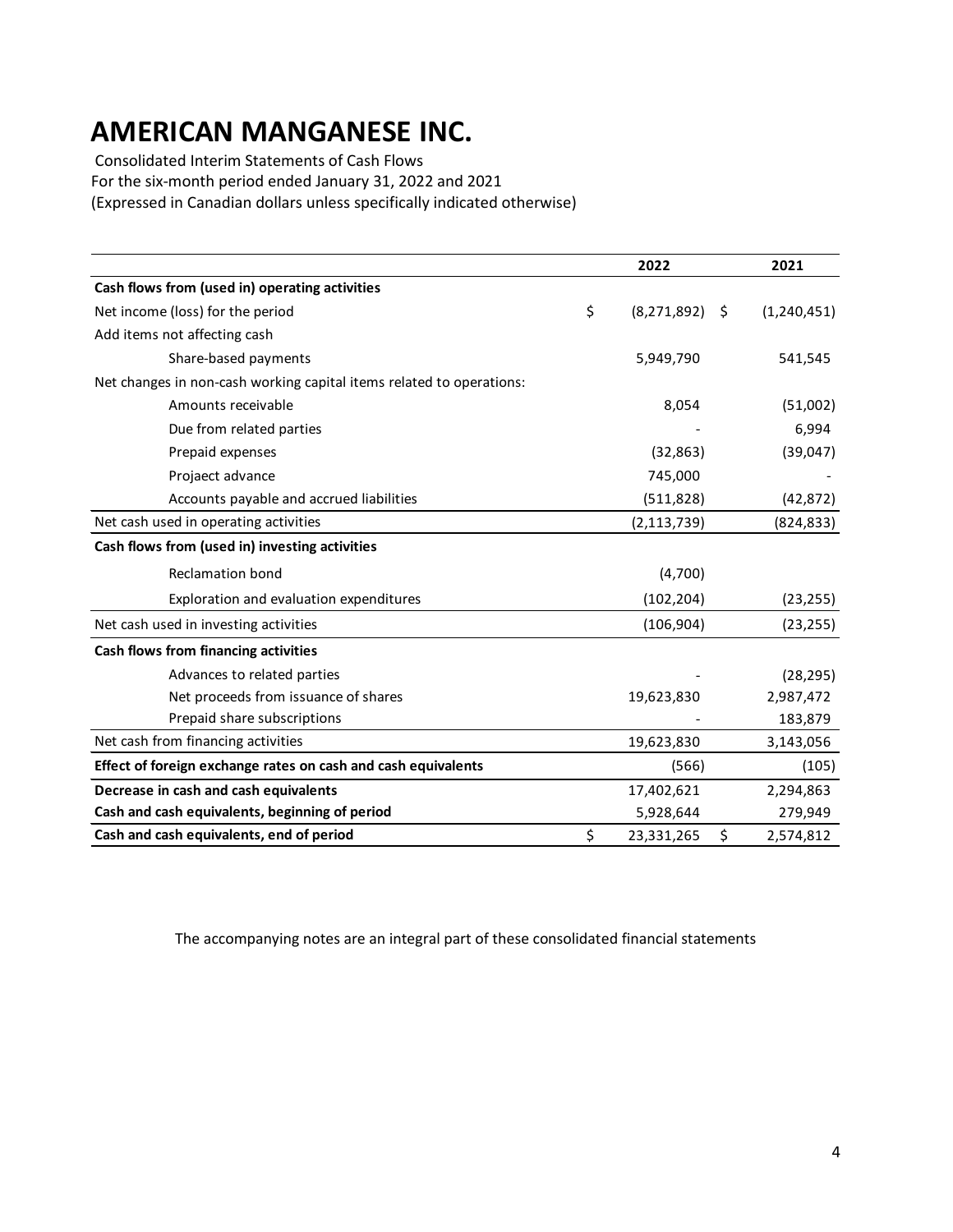Consolidated Interim Statements of Cash Flows

For the six-month period ended January 31, 2022 and 2021

(Expressed in Canadian dollars unless specifically indicated otherwise)

|                                                                      | 2022                       | 2021        |
|----------------------------------------------------------------------|----------------------------|-------------|
| Cash flows from (used in) operating activities                       |                            |             |
| Net income (loss) for the period                                     | \$<br>(8, 271, 892)<br>-\$ | (1,240,451) |
| Add items not affecting cash                                         |                            |             |
| Share-based payments                                                 | 5,949,790                  | 541,545     |
| Net changes in non-cash working capital items related to operations: |                            |             |
| Amounts receivable                                                   | 8,054                      | (51,002)    |
| Due from related parties                                             |                            | 6,994       |
| Prepaid expenses                                                     | (32, 863)                  | (39,047)    |
| Projaect advance                                                     | 745,000                    |             |
| Accounts payable and accrued liabilities                             | (511, 828)                 | (42, 872)   |
| Net cash used in operating activities                                | (2, 113, 739)              | (824, 833)  |
| Cash flows from (used in) investing activities                       |                            |             |
| <b>Reclamation bond</b>                                              | (4,700)                    |             |
| Exploration and evaluation expenditures                              | (102, 204)                 | (23, 255)   |
| Net cash used in investing activities                                | (106, 904)                 | (23, 255)   |
| Cash flows from financing activities                                 |                            |             |
| Advances to related parties                                          |                            | (28, 295)   |
| Net proceeds from issuance of shares                                 | 19,623,830                 | 2,987,472   |
| Prepaid share subscriptions                                          |                            | 183,879     |
| Net cash from financing activities                                   | 19,623,830                 | 3,143,056   |
| Effect of foreign exchange rates on cash and cash equivalents        | (566)                      | (105)       |
| Decrease in cash and cash equivalents                                | 17,402,621                 | 2,294,863   |
| Cash and cash equivalents, beginning of period                       | 5,928,644                  | 279,949     |
| Cash and cash equivalents, end of period                             | \$<br>\$<br>23,331,265     | 2,574,812   |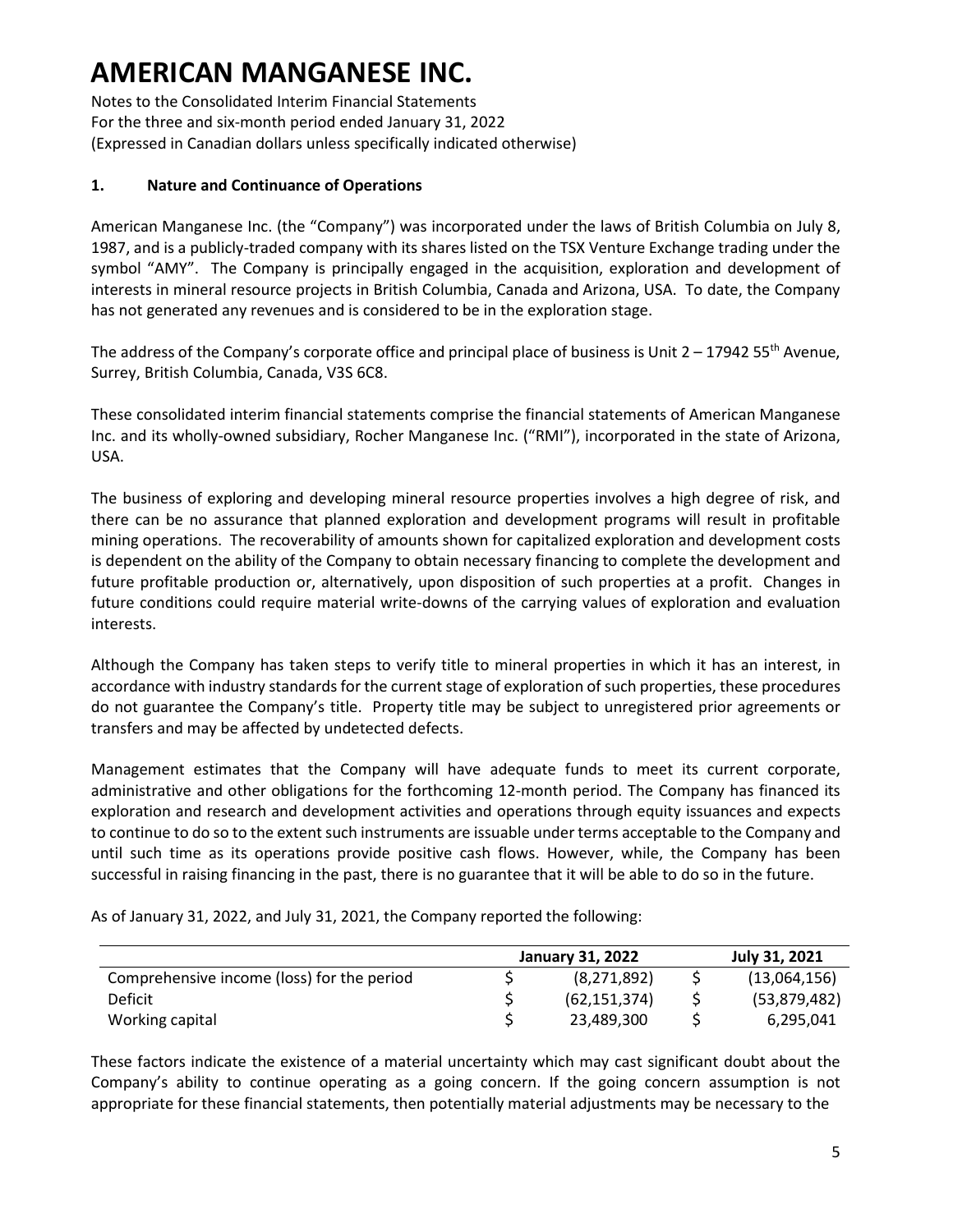Notes to the Consolidated Interim Financial Statements For the three and six-month period ended January 31, 2022 (Expressed in Canadian dollars unless specifically indicated otherwise)

#### **1. Nature and Continuance of Operations**

American Manganese Inc. (the "Company") was incorporated under the laws of British Columbia on July 8, 1987, and is a publicly-traded company with its shares listed on the TSX Venture Exchange trading under the symbol "AMY". The Company is principally engaged in the acquisition, exploration and development of interests in mineral resource projects in British Columbia, Canada and Arizona, USA. To date, the Company has not generated any revenues and is considered to be in the exploration stage.

The address of the Company's corporate office and principal place of business is Unit  $2 - 1794255$ <sup>th</sup> Avenue, Surrey, British Columbia, Canada, V3S 6C8.

These consolidated interim financial statements comprise the financial statements of American Manganese Inc. and its wholly-owned subsidiary, Rocher Manganese Inc. ("RMI"), incorporated in the state of Arizona, USA.

The business of exploring and developing mineral resource properties involves a high degree of risk, and there can be no assurance that planned exploration and development programs will result in profitable mining operations. The recoverability of amounts shown for capitalized exploration and development costs is dependent on the ability of the Company to obtain necessary financing to complete the development and future profitable production or, alternatively, upon disposition of such properties at a profit. Changes in future conditions could require material write-downs of the carrying values of exploration and evaluation interests.

Although the Company has taken steps to verify title to mineral properties in which it has an interest, in accordance with industry standards for the current stage of exploration of such properties, these procedures do not guarantee the Company's title. Property title may be subject to unregistered prior agreements or transfers and may be affected by undetected defects.

Management estimates that the Company will have adequate funds to meet its current corporate, administrative and other obligations for the forthcoming 12-month period. The Company has financed its exploration and research and development activities and operations through equity issuances and expects to continue to do so to the extent such instruments are issuable under terms acceptable to the Company and until such time as its operations provide positive cash flows. However, while, the Company has been successful in raising financing in the past, there is no guarantee that it will be able to do so in the future.

|                                            | <b>January 31, 2022</b> | July 31, 2021 |
|--------------------------------------------|-------------------------|---------------|
| Comprehensive income (loss) for the period | (8,271,892)             | (13,064,156)  |
| Deficit                                    | (62, 151, 374)          | (53,879,482)  |
| Working capital                            | 23,489,300              | 6,295,041     |

As of January 31, 2022, and July 31, 2021, the Company reported the following:

These factors indicate the existence of a material uncertainty which may cast significant doubt about the Company's ability to continue operating as a going concern. If the going concern assumption is not appropriate for these financial statements, then potentially material adjustments may be necessary to the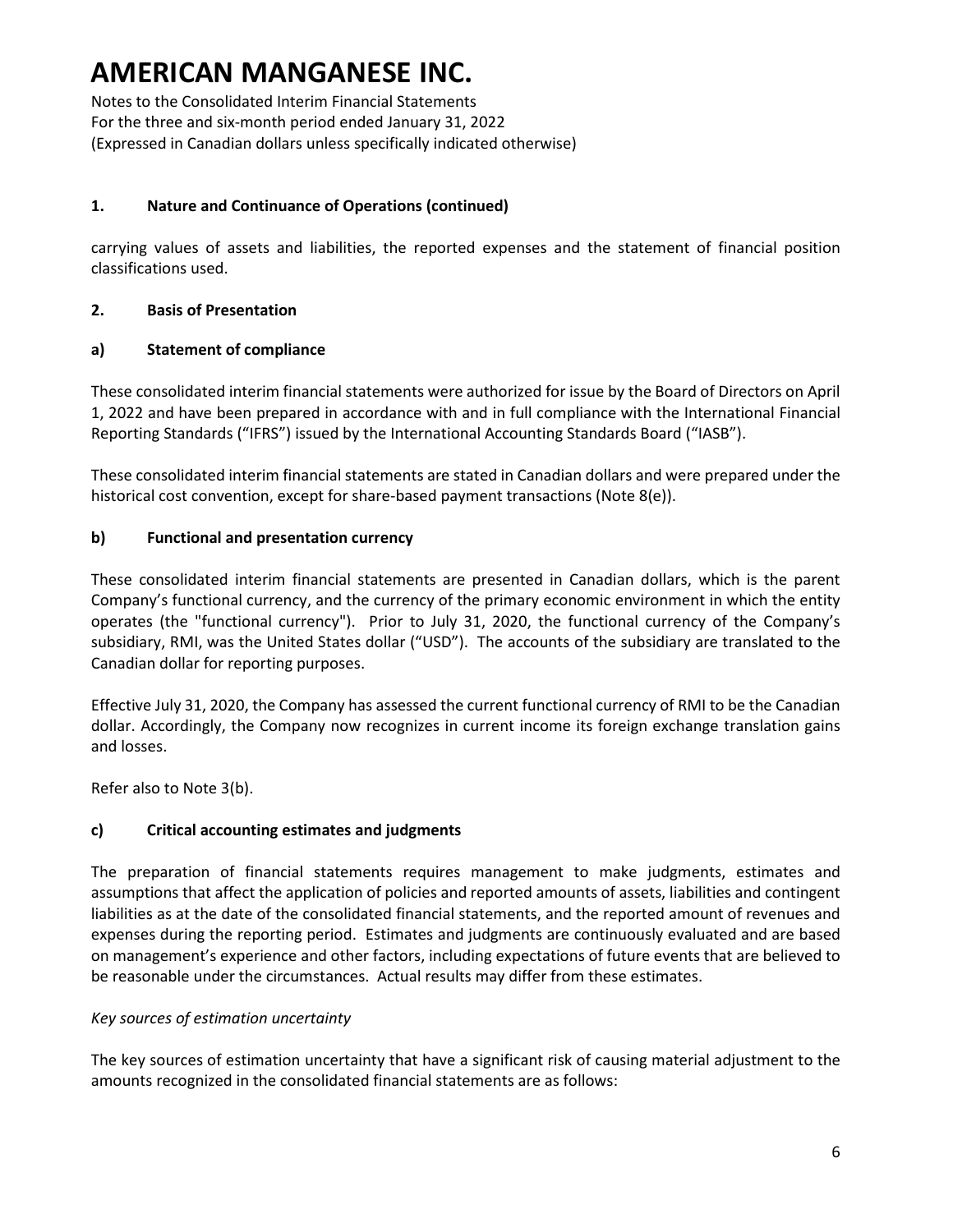Notes to the Consolidated Interim Financial Statements For the three and six-month period ended January 31, 2022 (Expressed in Canadian dollars unless specifically indicated otherwise)

### **1. Nature and Continuance of Operations (continued)**

carrying values of assets and liabilities, the reported expenses and the statement of financial position classifications used.

#### **2. Basis of Presentation**

### **a) Statement of compliance**

These consolidated interim financial statements were authorized for issue by the Board of Directors on April 1, 2022 and have been prepared in accordance with and in full compliance with the International Financial Reporting Standards ("IFRS") issued by the International Accounting Standards Board ("IASB").

These consolidated interim financial statements are stated in Canadian dollars and were prepared under the historical cost convention, except for share-based payment transactions (Note 8(e)).

### **b) Functional and presentation currency**

These consolidated interim financial statements are presented in Canadian dollars, which is the parent Company's functional currency, and the currency of the primary economic environment in which the entity operates (the "functional currency"). Prior to July 31, 2020, the functional currency of the Company's subsidiary, RMI, was the United States dollar ("USD"). The accounts of the subsidiary are translated to the Canadian dollar for reporting purposes.

Effective July 31, 2020, the Company has assessed the current functional currency of RMI to be the Canadian dollar. Accordingly, the Company now recognizes in current income its foreign exchange translation gains and losses.

Refer also to Note 3(b).

### **c) Critical accounting estimates and judgments**

The preparation of financial statements requires management to make judgments, estimates and assumptions that affect the application of policies and reported amounts of assets, liabilities and contingent liabilities as at the date of the consolidated financial statements, and the reported amount of revenues and expenses during the reporting period. Estimates and judgments are continuously evaluated and are based on management's experience and other factors, including expectations of future events that are believed to be reasonable under the circumstances. Actual results may differ from these estimates.

#### *Key sources of estimation uncertainty*

The key sources of estimation uncertainty that have a significant risk of causing material adjustment to the amounts recognized in the consolidated financial statements are as follows: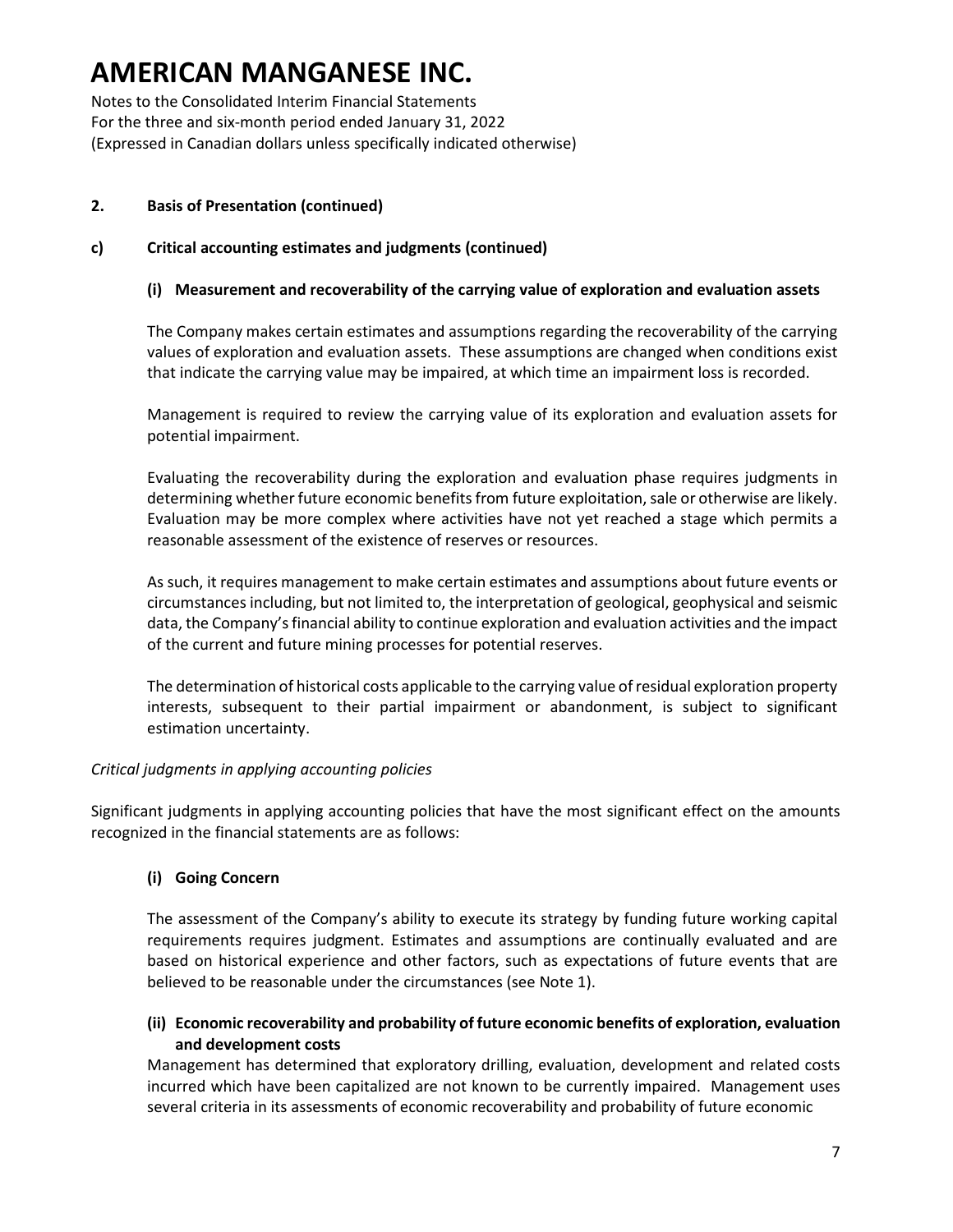Notes to the Consolidated Interim Financial Statements For the three and six-month period ended January 31, 2022 (Expressed in Canadian dollars unless specifically indicated otherwise)

#### **2. Basis of Presentation (continued)**

#### **c) Critical accounting estimates and judgments (continued)**

#### **(i) Measurement and recoverability of the carrying value of exploration and evaluation assets**

The Company makes certain estimates and assumptions regarding the recoverability of the carrying values of exploration and evaluation assets. These assumptions are changed when conditions exist that indicate the carrying value may be impaired, at which time an impairment loss is recorded.

Management is required to review the carrying value of its exploration and evaluation assets for potential impairment.

Evaluating the recoverability during the exploration and evaluation phase requires judgments in determining whether future economic benefits from future exploitation, sale or otherwise are likely. Evaluation may be more complex where activities have not yet reached a stage which permits a reasonable assessment of the existence of reserves or resources.

As such, it requires management to make certain estimates and assumptions about future events or circumstances including, but not limited to, the interpretation of geological, geophysical and seismic data, the Company's financial ability to continue exploration and evaluation activities and the impact of the current and future mining processes for potential reserves.

The determination of historical costs applicable to the carrying value of residual exploration property interests, subsequent to their partial impairment or abandonment, is subject to significant estimation uncertainty.

#### *Critical judgments in applying accounting policies*

Significant judgments in applying accounting policies that have the most significant effect on the amounts recognized in the financial statements are as follows:

#### **(i) Going Concern**

The assessment of the Company's ability to execute its strategy by funding future working capital requirements requires judgment. Estimates and assumptions are continually evaluated and are based on historical experience and other factors, such as expectations of future events that are believed to be reasonable under the circumstances (see Note 1).

#### **(ii) Economic recoverability and probability of future economic benefits of exploration, evaluation and development costs**

Management has determined that exploratory drilling, evaluation, development and related costs incurred which have been capitalized are not known to be currently impaired. Management uses several criteria in its assessments of economic recoverability and probability of future economic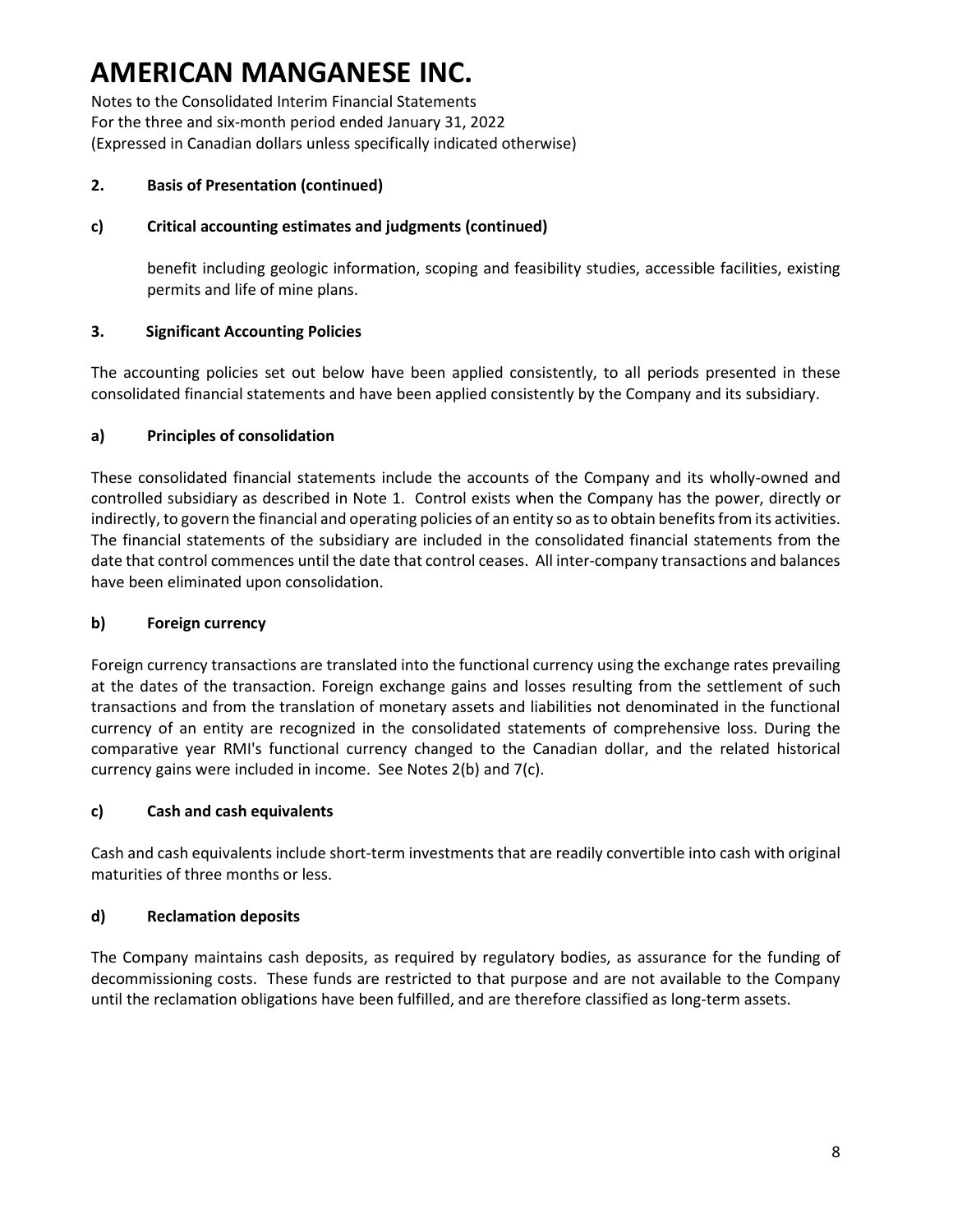Notes to the Consolidated Interim Financial Statements For the three and six-month period ended January 31, 2022 (Expressed in Canadian dollars unless specifically indicated otherwise)

### **2. Basis of Presentation (continued)**

### **c) Critical accounting estimates and judgments (continued)**

benefit including geologic information, scoping and feasibility studies, accessible facilities, existing permits and life of mine plans.

### **3. Significant Accounting Policies**

The accounting policies set out below have been applied consistently, to all periods presented in these consolidated financial statements and have been applied consistently by the Company and its subsidiary.

### **a) Principles of consolidation**

These consolidated financial statements include the accounts of the Company and its wholly-owned and controlled subsidiary as described in Note 1. Control exists when the Company has the power, directly or indirectly, to govern the financial and operating policies of an entity so as to obtain benefits from its activities. The financial statements of the subsidiary are included in the consolidated financial statements from the date that control commences until the date that control ceases. All inter-company transactions and balances have been eliminated upon consolidation.

#### **b) Foreign currency**

Foreign currency transactions are translated into the functional currency using the exchange rates prevailing at the dates of the transaction. Foreign exchange gains and losses resulting from the settlement of such transactions and from the translation of monetary assets and liabilities not denominated in the functional currency of an entity are recognized in the consolidated statements of comprehensive loss. During the comparative year RMI's functional currency changed to the Canadian dollar, and the related historical currency gains were included in income. See Notes 2(b) and 7(c).

#### **c) Cash and cash equivalents**

Cash and cash equivalents include short-term investments that are readily convertible into cash with original maturities of three months or less.

#### **d) Reclamation deposits**

The Company maintains cash deposits, as required by regulatory bodies, as assurance for the funding of decommissioning costs. These funds are restricted to that purpose and are not available to the Company until the reclamation obligations have been fulfilled, and are therefore classified as long-term assets.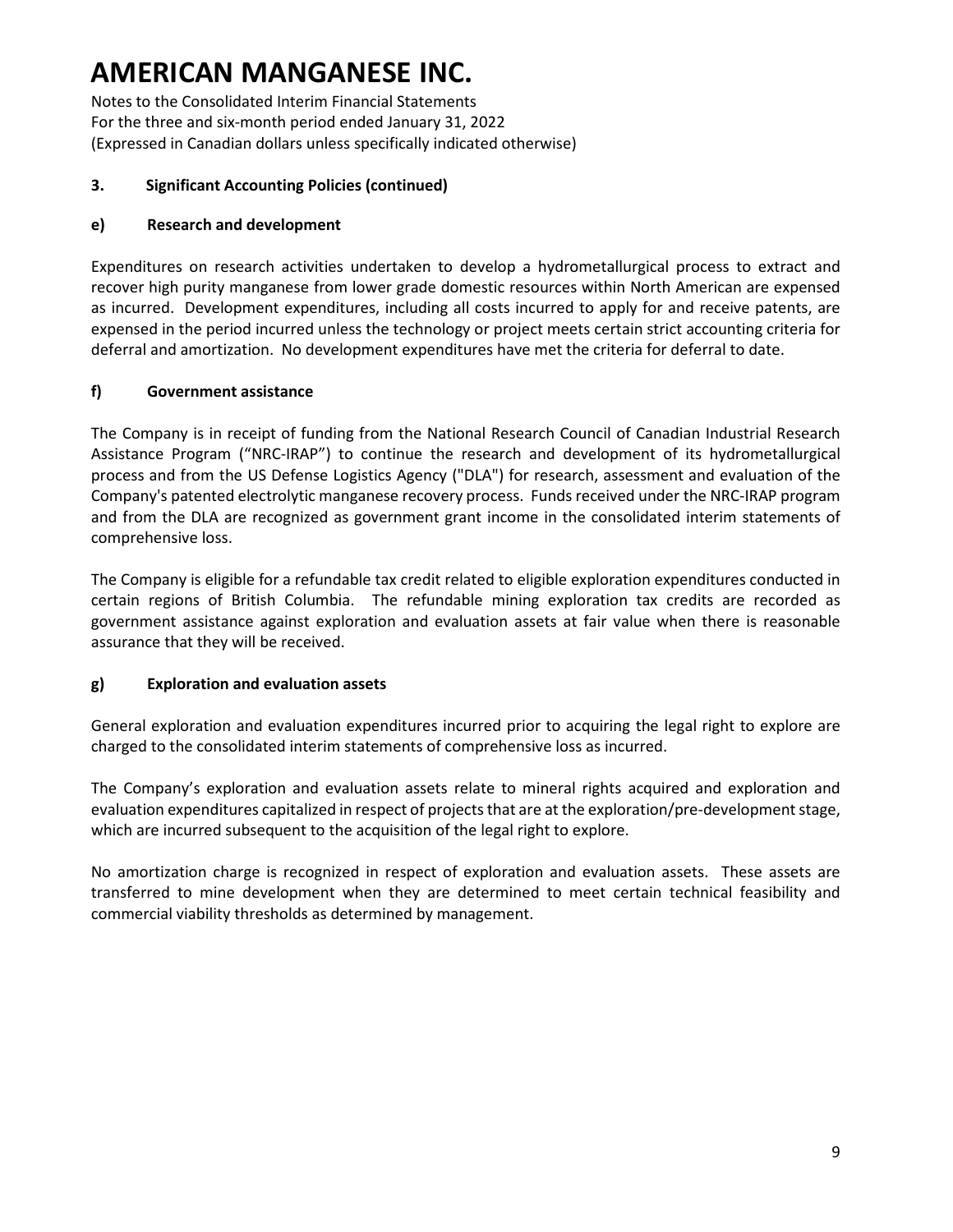Notes to the Consolidated Interim Financial Statements For the three and six-month period ended January 31, 2022 (Expressed in Canadian dollars unless specifically indicated otherwise)

### **3. Significant Accounting Policies (continued)**

### **e) Research and development**

Expenditures on research activities undertaken to develop a hydrometallurgical process to extract and recover high purity manganese from lower grade domestic resources within North American are expensed as incurred. Development expenditures, including all costs incurred to apply for and receive patents, are expensed in the period incurred unless the technology or project meets certain strict accounting criteria for deferral and amortization. No development expenditures have met the criteria for deferral to date.

### **f) Government assistance**

The Company is in receipt of funding from the National Research Council of Canadian Industrial Research Assistance Program ("NRC-IRAP") to continue the research and development of its hydrometallurgical process and from the US Defense Logistics Agency ("DLA") for research, assessment and evaluation of the Company's patented electrolytic manganese recovery process. Funds received under the NRC-IRAP program and from the DLA are recognized as government grant income in the consolidated interim statements of comprehensive loss.

The Company is eligible for a refundable tax credit related to eligible exploration expenditures conducted in certain regions of British Columbia. The refundable mining exploration tax credits are recorded as government assistance against exploration and evaluation assets at fair value when there is reasonable assurance that they will be received.

### **g) Exploration and evaluation assets**

General exploration and evaluation expenditures incurred prior to acquiring the legal right to explore are charged to the consolidated interim statements of comprehensive loss as incurred.

The Company's exploration and evaluation assets relate to mineral rights acquired and exploration and evaluation expenditures capitalized in respect of projects that are at the exploration/pre-development stage, which are incurred subsequent to the acquisition of the legal right to explore.

No amortization charge is recognized in respect of exploration and evaluation assets. These assets are transferred to mine development when they are determined to meet certain technical feasibility and commercial viability thresholds as determined by management.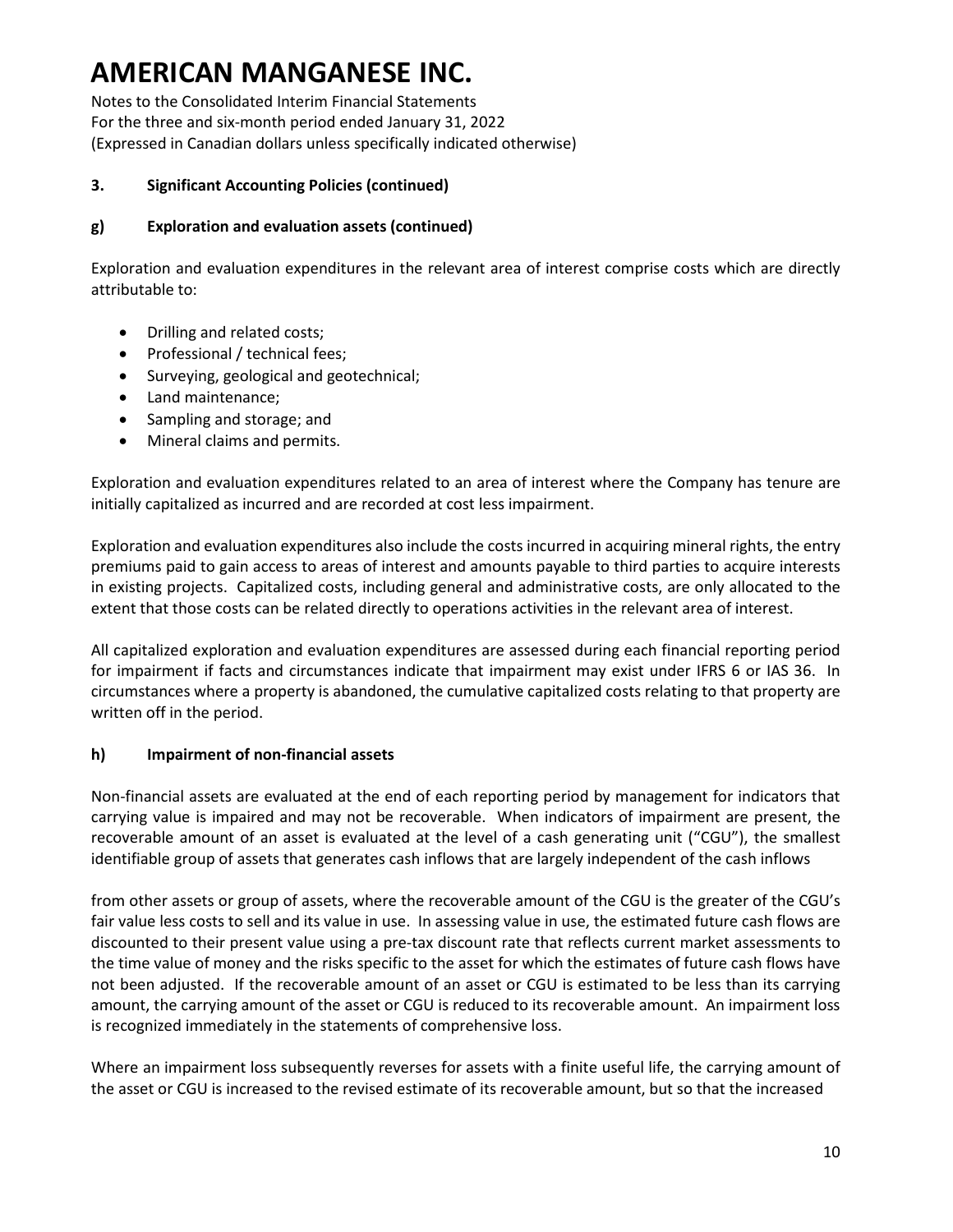Notes to the Consolidated Interim Financial Statements For the three and six-month period ended January 31, 2022 (Expressed in Canadian dollars unless specifically indicated otherwise)

#### **3. Significant Accounting Policies (continued)**

### **g) Exploration and evaluation assets (continued)**

Exploration and evaluation expenditures in the relevant area of interest comprise costs which are directly attributable to:

- Drilling and related costs;
- Professional / technical fees;
- Surveying, geological and geotechnical;
- Land maintenance;
- Sampling and storage; and
- Mineral claims and permits.

Exploration and evaluation expenditures related to an area of interest where the Company has tenure are initially capitalized as incurred and are recorded at cost less impairment.

Exploration and evaluation expenditures also include the costs incurred in acquiring mineral rights, the entry premiums paid to gain access to areas of interest and amounts payable to third parties to acquire interests in existing projects. Capitalized costs, including general and administrative costs, are only allocated to the extent that those costs can be related directly to operations activities in the relevant area of interest.

All capitalized exploration and evaluation expenditures are assessed during each financial reporting period for impairment if facts and circumstances indicate that impairment may exist under IFRS 6 or IAS 36. In circumstances where a property is abandoned, the cumulative capitalized costs relating to that property are written off in the period.

### **h) Impairment of non-financial assets**

Non-financial assets are evaluated at the end of each reporting period by management for indicators that carrying value is impaired and may not be recoverable. When indicators of impairment are present, the recoverable amount of an asset is evaluated at the level of a cash generating unit ("CGU"), the smallest identifiable group of assets that generates cash inflows that are largely independent of the cash inflows

from other assets or group of assets, where the recoverable amount of the CGU is the greater of the CGU's fair value less costs to sell and its value in use. In assessing value in use, the estimated future cash flows are discounted to their present value using a pre-tax discount rate that reflects current market assessments to the time value of money and the risks specific to the asset for which the estimates of future cash flows have not been adjusted. If the recoverable amount of an asset or CGU is estimated to be less than its carrying amount, the carrying amount of the asset or CGU is reduced to its recoverable amount. An impairment loss is recognized immediately in the statements of comprehensive loss.

Where an impairment loss subsequently reverses for assets with a finite useful life, the carrying amount of the asset or CGU is increased to the revised estimate of its recoverable amount, but so that the increased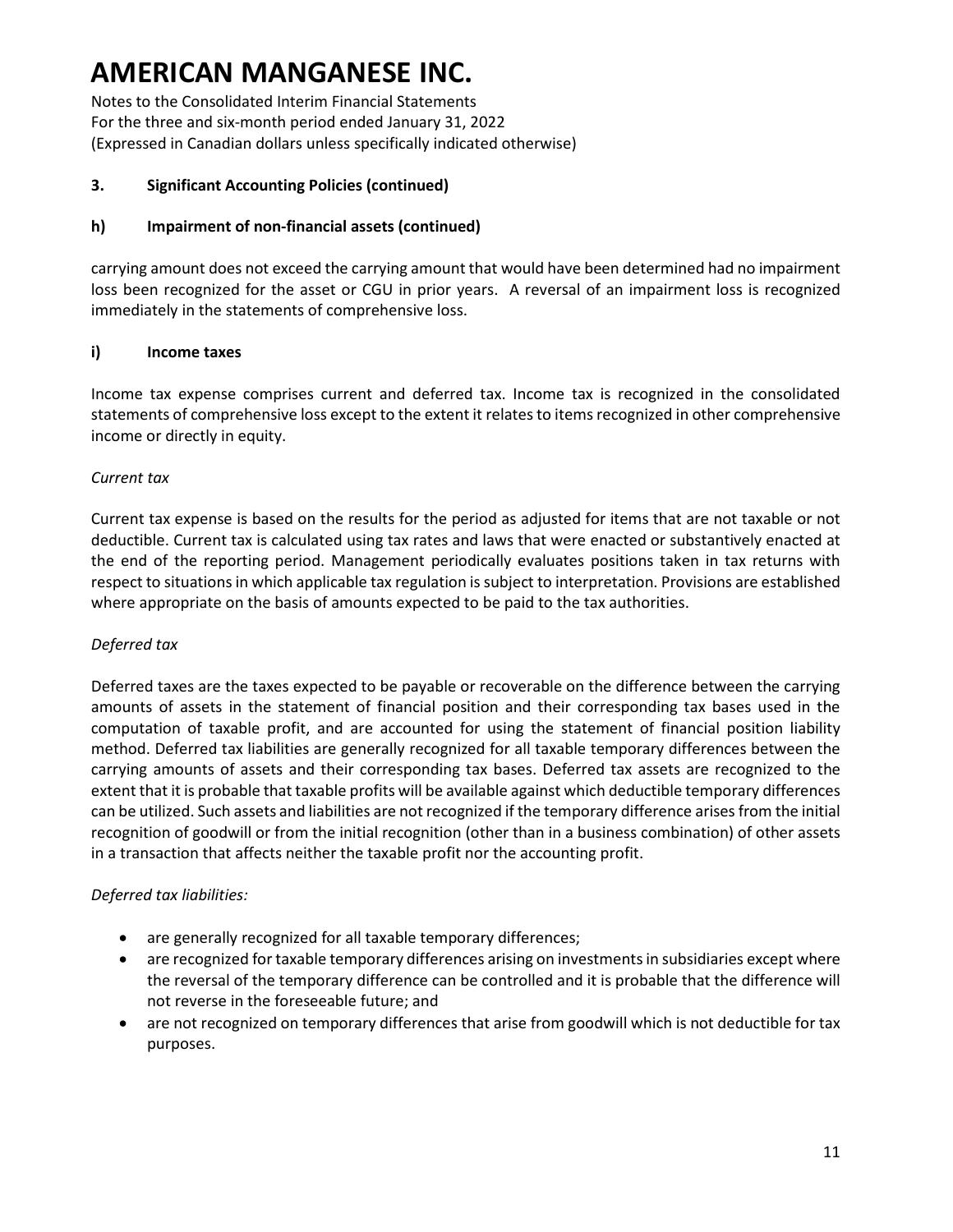Notes to the Consolidated Interim Financial Statements For the three and six-month period ended January 31, 2022 (Expressed in Canadian dollars unless specifically indicated otherwise)

#### **3. Significant Accounting Policies (continued)**

### **h) Impairment of non-financial assets (continued)**

carrying amount does not exceed the carrying amount that would have been determined had no impairment loss been recognized for the asset or CGU in prior years. A reversal of an impairment loss is recognized immediately in the statements of comprehensive loss.

#### **i) Income taxes**

Income tax expense comprises current and deferred tax. Income tax is recognized in the consolidated statements of comprehensive loss except to the extent it relates to items recognized in other comprehensive income or directly in equity.

#### *Current tax*

Current tax expense is based on the results for the period as adjusted for items that are not taxable or not deductible. Current tax is calculated using tax rates and laws that were enacted or substantively enacted at the end of the reporting period. Management periodically evaluates positions taken in tax returns with respect to situations in which applicable tax regulation is subject to interpretation. Provisions are established where appropriate on the basis of amounts expected to be paid to the tax authorities.

#### *Deferred tax*

Deferred taxes are the taxes expected to be payable or recoverable on the difference between the carrying amounts of assets in the statement of financial position and their corresponding tax bases used in the computation of taxable profit, and are accounted for using the statement of financial position liability method. Deferred tax liabilities are generally recognized for all taxable temporary differences between the carrying amounts of assets and their corresponding tax bases. Deferred tax assets are recognized to the extent that it is probable that taxable profits will be available against which deductible temporary differences can be utilized. Such assets and liabilities are not recognized if the temporary difference arises from the initial recognition of goodwill or from the initial recognition (other than in a business combination) of other assets in a transaction that affects neither the taxable profit nor the accounting profit.

#### *Deferred tax liabilities:*

- are generally recognized for all taxable temporary differences;
- are recognized for taxable temporary differences arising on investments in subsidiaries except where the reversal of the temporary difference can be controlled and it is probable that the difference will not reverse in the foreseeable future; and
- are not recognized on temporary differences that arise from goodwill which is not deductible for tax purposes.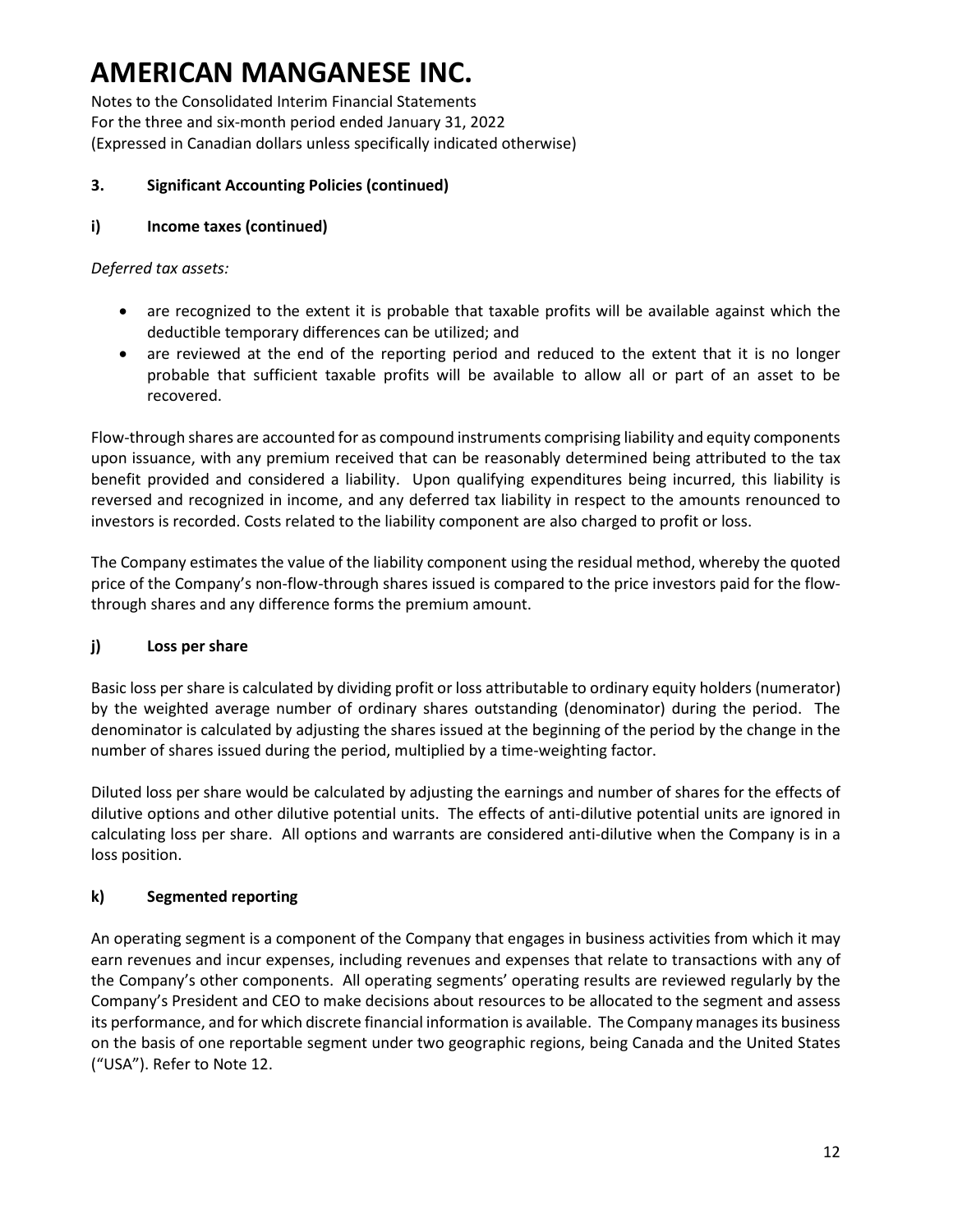Notes to the Consolidated Interim Financial Statements For the three and six-month period ended January 31, 2022 (Expressed in Canadian dollars unless specifically indicated otherwise)

### **3. Significant Accounting Policies (continued)**

### **i) Income taxes (continued)**

#### *Deferred tax assets:*

- are recognized to the extent it is probable that taxable profits will be available against which the deductible temporary differences can be utilized; and
- are reviewed at the end of the reporting period and reduced to the extent that it is no longer probable that sufficient taxable profits will be available to allow all or part of an asset to be recovered.

Flow-through shares are accounted for as compound instruments comprising liability and equity components upon issuance, with any premium received that can be reasonably determined being attributed to the tax benefit provided and considered a liability. Upon qualifying expenditures being incurred, this liability is reversed and recognized in income, and any deferred tax liability in respect to the amounts renounced to investors is recorded. Costs related to the liability component are also charged to profit or loss.

The Company estimates the value of the liability component using the residual method, whereby the quoted price of the Company's non-flow-through shares issued is compared to the price investors paid for the flowthrough shares and any difference forms the premium amount.

### **j) Loss per share**

Basic loss per share is calculated by dividing profit or loss attributable to ordinary equity holders (numerator) by the weighted average number of ordinary shares outstanding (denominator) during the period. The denominator is calculated by adjusting the shares issued at the beginning of the period by the change in the number of shares issued during the period, multiplied by a time-weighting factor.

Diluted loss per share would be calculated by adjusting the earnings and number of shares for the effects of dilutive options and other dilutive potential units. The effects of anti-dilutive potential units are ignored in calculating loss per share. All options and warrants are considered anti-dilutive when the Company is in a loss position.

### **k) Segmented reporting**

An operating segment is a component of the Company that engages in business activities from which it may earn revenues and incur expenses, including revenues and expenses that relate to transactions with any of the Company's other components. All operating segments' operating results are reviewed regularly by the Company's President and CEO to make decisions about resources to be allocated to the segment and assess its performance, and for which discrete financial information is available. The Company manages its business on the basis of one reportable segment under two geographic regions, being Canada and the United States ("USA"). Refer to Note 12.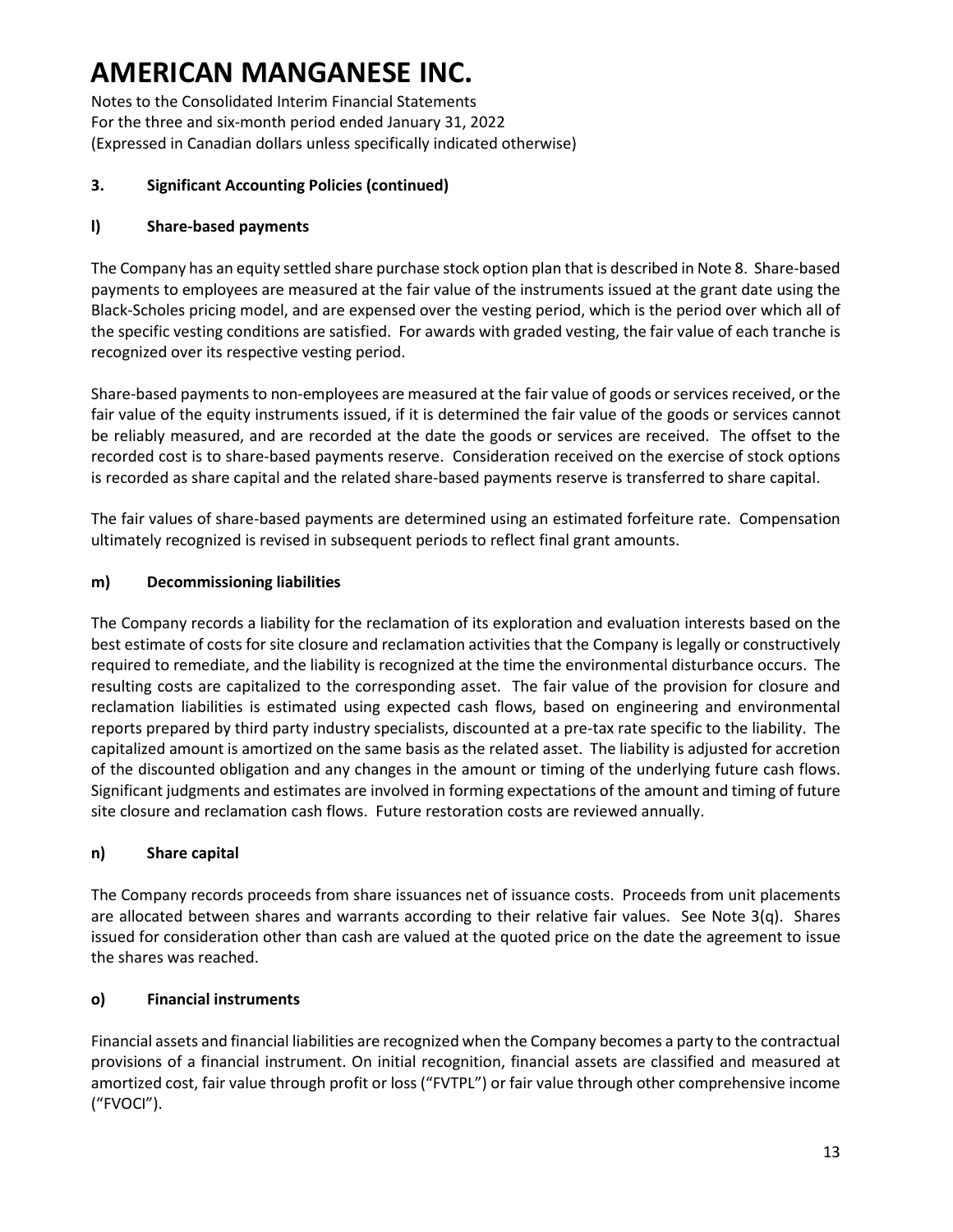Notes to the Consolidated Interim Financial Statements For the three and six-month period ended January 31, 2022 (Expressed in Canadian dollars unless specifically indicated otherwise)

### **3. Significant Accounting Policies (continued)**

### **l) Share-based payments**

The Company has an equity settled share purchase stock option plan that is described in Note 8. Share-based payments to employees are measured at the fair value of the instruments issued at the grant date using the Black-Scholes pricing model, and are expensed over the vesting period, which is the period over which all of the specific vesting conditions are satisfied. For awards with graded vesting, the fair value of each tranche is recognized over its respective vesting period.

Share-based payments to non-employees are measured at the fair value of goods or services received, or the fair value of the equity instruments issued, if it is determined the fair value of the goods or services cannot be reliably measured, and are recorded at the date the goods or services are received. The offset to the recorded cost is to share-based payments reserve. Consideration received on the exercise of stock options is recorded as share capital and the related share-based payments reserve is transferred to share capital.

The fair values of share-based payments are determined using an estimated forfeiture rate. Compensation ultimately recognized is revised in subsequent periods to reflect final grant amounts.

#### **m) Decommissioning liabilities**

The Company records a liability for the reclamation of its exploration and evaluation interests based on the best estimate of costs for site closure and reclamation activities that the Company is legally or constructively required to remediate, and the liability is recognized at the time the environmental disturbance occurs. The resulting costs are capitalized to the corresponding asset. The fair value of the provision for closure and reclamation liabilities is estimated using expected cash flows, based on engineering and environmental reports prepared by third party industry specialists, discounted at a pre-tax rate specific to the liability. The capitalized amount is amortized on the same basis as the related asset. The liability is adjusted for accretion of the discounted obligation and any changes in the amount or timing of the underlying future cash flows. Significant judgments and estimates are involved in forming expectations of the amount and timing of future site closure and reclamation cash flows. Future restoration costs are reviewed annually.

#### **n) Share capital**

The Company records proceeds from share issuances net of issuance costs. Proceeds from unit placements are allocated between shares and warrants according to their relative fair values. See Note 3(q). Shares issued for consideration other than cash are valued at the quoted price on the date the agreement to issue the shares was reached.

#### **o) Financial instruments**

Financial assets and financial liabilities are recognized when the Company becomes a party to the contractual provisions of a financial instrument. On initial recognition, financial assets are classified and measured at amortized cost, fair value through profit or loss ("FVTPL") or fair value through other comprehensive income ("FVOCI").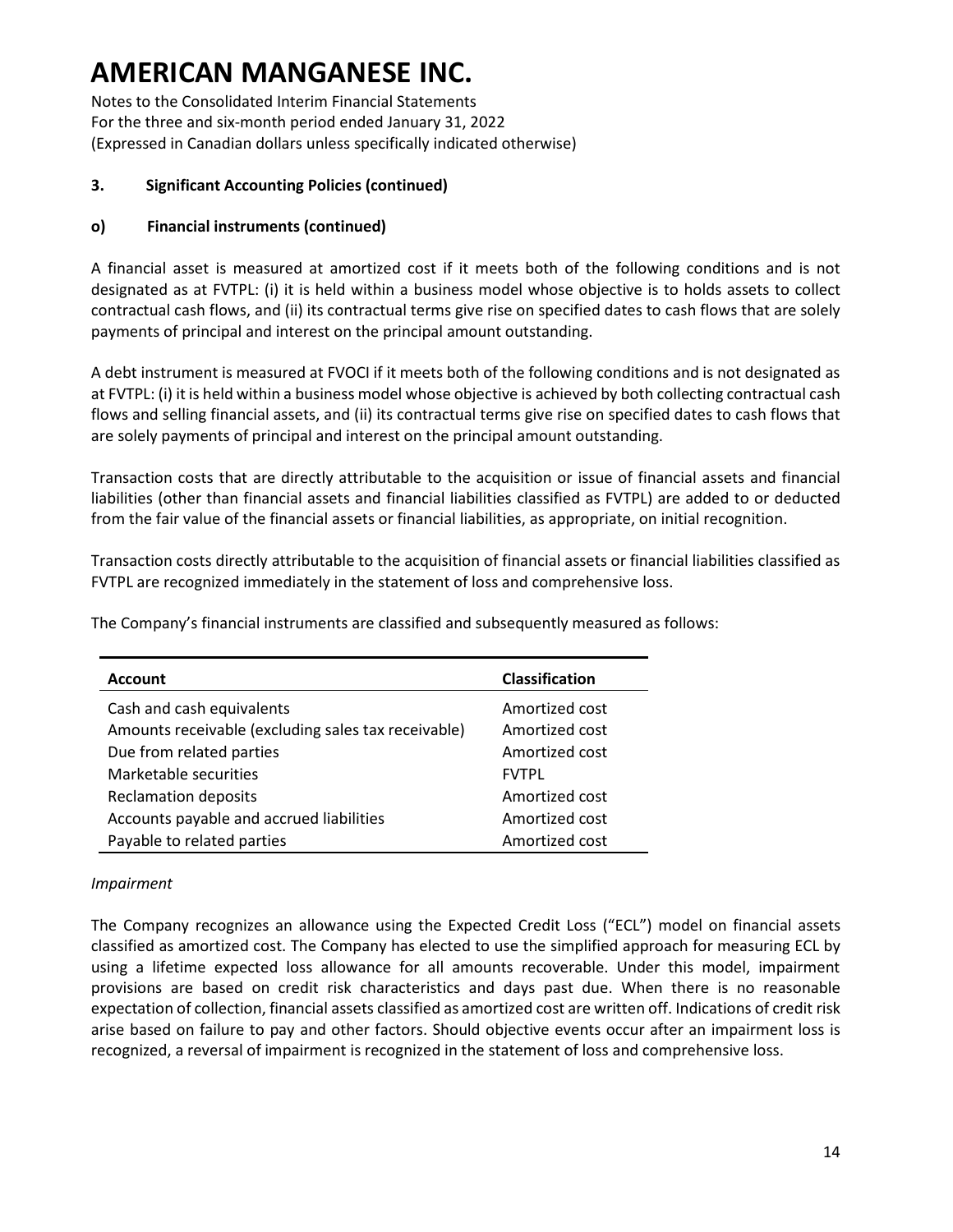Notes to the Consolidated Interim Financial Statements For the three and six-month period ended January 31, 2022 (Expressed in Canadian dollars unless specifically indicated otherwise)

### **3. Significant Accounting Policies (continued)**

### **o) Financial instruments (continued)**

A financial asset is measured at amortized cost if it meets both of the following conditions and is not designated as at FVTPL: (i) it is held within a business model whose objective is to holds assets to collect contractual cash flows, and (ii) its contractual terms give rise on specified dates to cash flows that are solely payments of principal and interest on the principal amount outstanding.

A debt instrument is measured at FVOCI if it meets both of the following conditions and is not designated as at FVTPL: (i) it is held within a business model whose objective is achieved by both collecting contractual cash flows and selling financial assets, and (ii) its contractual terms give rise on specified dates to cash flows that are solely payments of principal and interest on the principal amount outstanding.

Transaction costs that are directly attributable to the acquisition or issue of financial assets and financial liabilities (other than financial assets and financial liabilities classified as FVTPL) are added to or deducted from the fair value of the financial assets or financial liabilities, as appropriate, on initial recognition.

Transaction costs directly attributable to the acquisition of financial assets or financial liabilities classified as FVTPL are recognized immediately in the statement of loss and comprehensive loss.

The Company's financial instruments are classified and subsequently measured as follows:

| <b>Account</b>                                      | <b>Classification</b> |
|-----------------------------------------------------|-----------------------|
| Cash and cash equivalents                           | Amortized cost        |
| Amounts receivable (excluding sales tax receivable) | Amortized cost        |
| Due from related parties                            | Amortized cost        |
| Marketable securities                               | <b>FVTPL</b>          |
| <b>Reclamation deposits</b>                         | Amortized cost        |
| Accounts payable and accrued liabilities            | Amortized cost        |
| Payable to related parties                          | Amortized cost        |

#### *Impairment*

The Company recognizes an allowance using the Expected Credit Loss ("ECL") model on financial assets classified as amortized cost. The Company has elected to use the simplified approach for measuring ECL by using a lifetime expected loss allowance for all amounts recoverable. Under this model, impairment provisions are based on credit risk characteristics and days past due. When there is no reasonable expectation of collection, financial assets classified as amortized cost are written off. Indications of credit risk arise based on failure to pay and other factors. Should objective events occur after an impairment loss is recognized, a reversal of impairment is recognized in the statement of loss and comprehensive loss.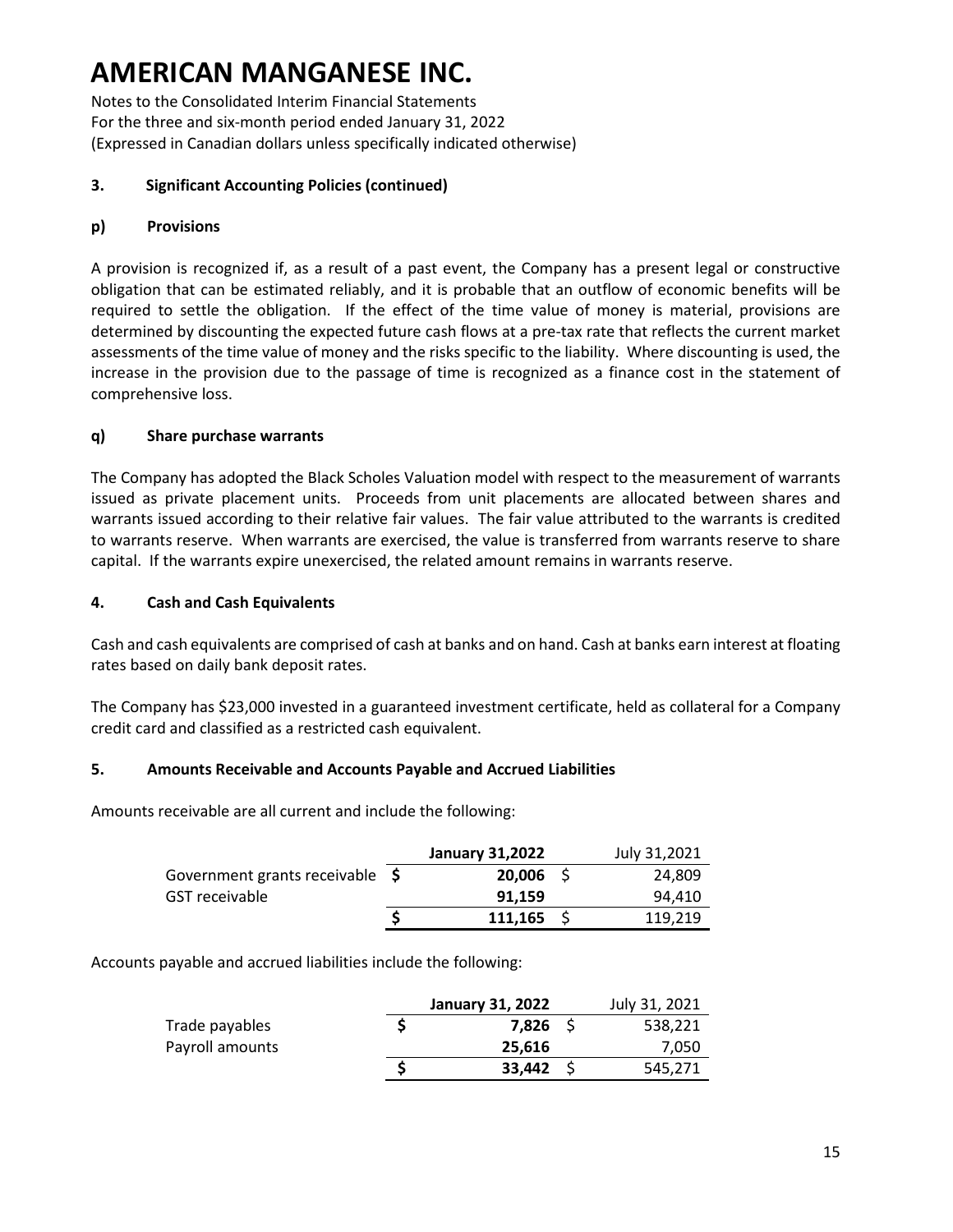Notes to the Consolidated Interim Financial Statements For the three and six-month period ended January 31, 2022 (Expressed in Canadian dollars unless specifically indicated otherwise)

### **3. Significant Accounting Policies (continued)**

### **p) Provisions**

A provision is recognized if, as a result of a past event, the Company has a present legal or constructive obligation that can be estimated reliably, and it is probable that an outflow of economic benefits will be required to settle the obligation. If the effect of the time value of money is material, provisions are determined by discounting the expected future cash flows at a pre-tax rate that reflects the current market assessments of the time value of money and the risks specific to the liability. Where discounting is used, the increase in the provision due to the passage of time is recognized as a finance cost in the statement of comprehensive loss.

### **q) Share purchase warrants**

The Company has adopted the Black Scholes Valuation model with respect to the measurement of warrants issued as private placement units. Proceeds from unit placements are allocated between shares and warrants issued according to their relative fair values. The fair value attributed to the warrants is credited to warrants reserve. When warrants are exercised, the value is transferred from warrants reserve to share capital. If the warrants expire unexercised, the related amount remains in warrants reserve.

#### **4. Cash and Cash Equivalents**

Cash and cash equivalents are comprised of cash at banks and on hand. Cash at banks earn interest at floating rates based on daily bank deposit rates.

The Company has \$23,000 invested in a guaranteed investment certificate, held as collateral for a Company credit card and classified as a restricted cash equivalent.

#### **5. Amounts Receivable and Accounts Payable and Accrued Liabilities**

Amounts receivable are all current and include the following:

|                                 | January 31,2022 | July 31,2021 |
|---------------------------------|-----------------|--------------|
| Government grants receivable \$ | $20,006$ \$     | 24,809       |
| GST receivable                  | 91.159          | 94.410       |
|                                 | $111.165$ S     | 119.219      |

Accounts payable and accrued liabilities include the following:

|                 | January 31, 2022 | July 31, 2021 |
|-----------------|------------------|---------------|
| Trade payables  | 7,826            | 538,221       |
| Payroll amounts | 25.616           | 7,050         |
|                 | $33,442$ \$      | 545,271       |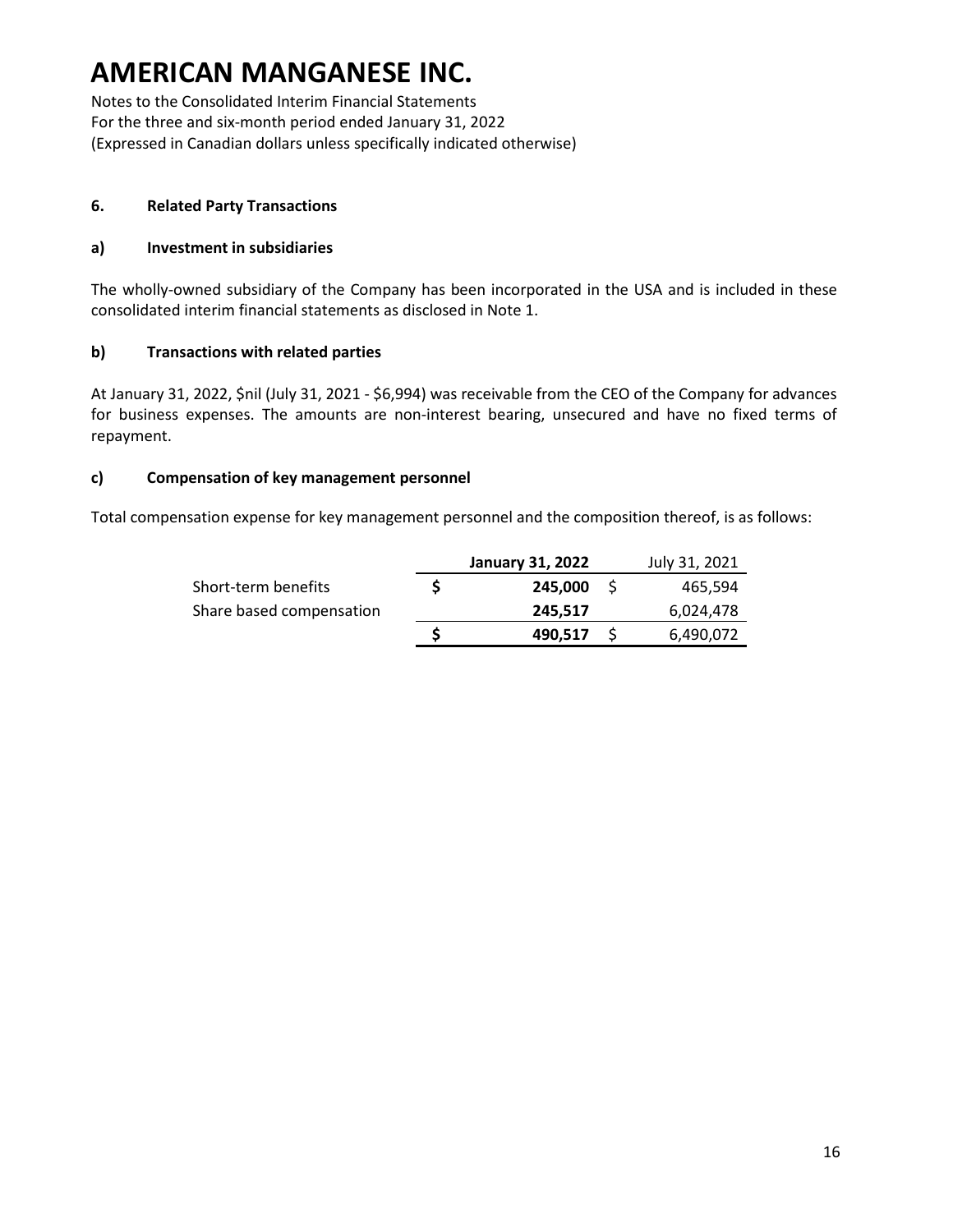Notes to the Consolidated Interim Financial Statements For the three and six-month period ended January 31, 2022 (Expressed in Canadian dollars unless specifically indicated otherwise)

#### **6. Related Party Transactions**

#### **a) Investment in subsidiaries**

The wholly-owned subsidiary of the Company has been incorporated in the USA and is included in these consolidated interim financial statements as disclosed in Note 1.

### **b) Transactions with related parties**

At January 31, 2022, \$nil (July 31, 2021 - \$6,994) was receivable from the CEO of the Company for advances for business expenses. The amounts are non-interest bearing, unsecured and have no fixed terms of repayment.

### **c) Compensation of key management personnel**

Total compensation expense for key management personnel and the composition thereof, is as follows:

|                          |   | <b>January 31, 2022</b> | July 31, 2021 |
|--------------------------|---|-------------------------|---------------|
| Short-term benefits      |   | 245.000                 | 465.594       |
| Share based compensation |   | 245,517                 | 6,024,478     |
|                          | S | 490,517                 | 6,490,072     |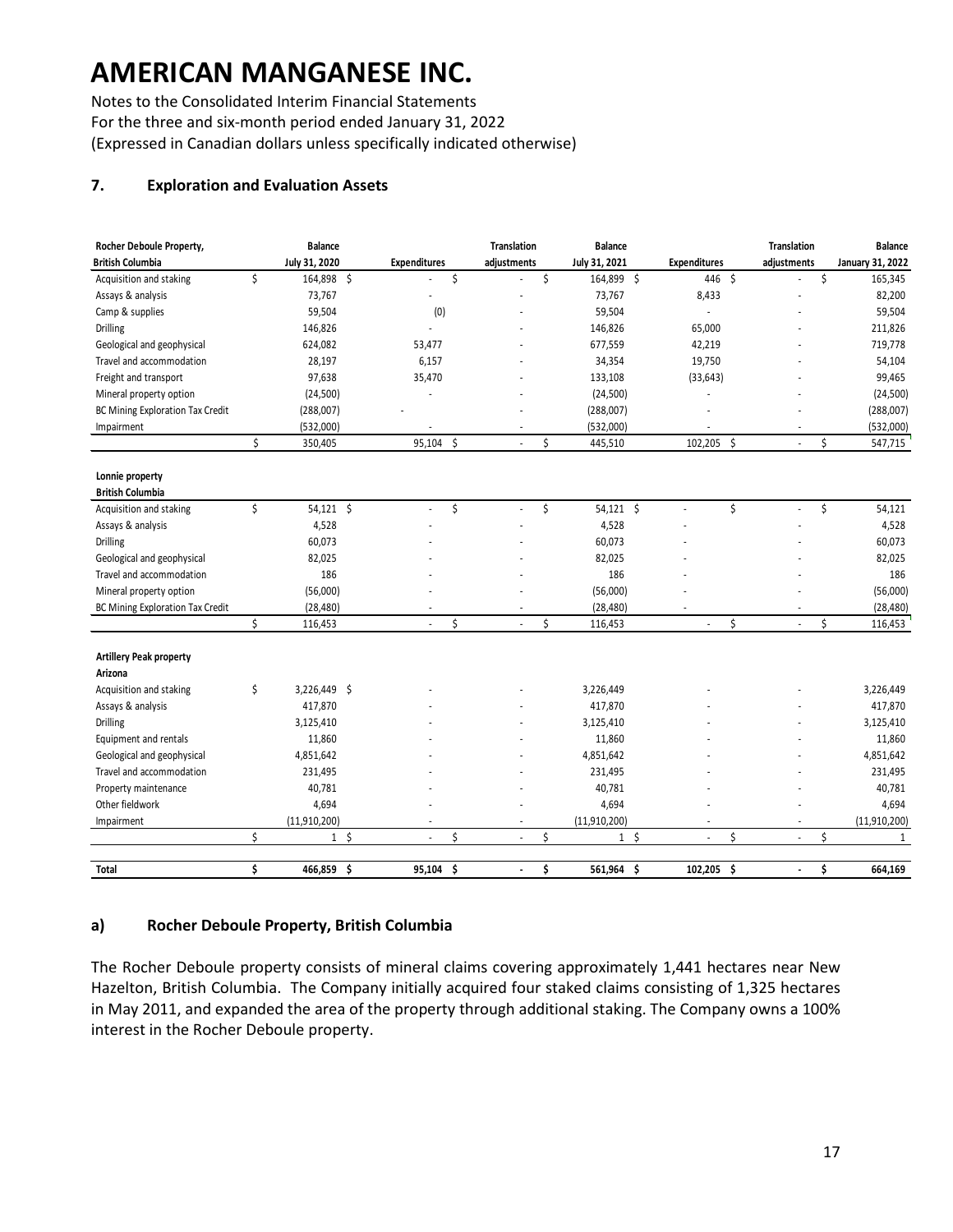Notes to the Consolidated Interim Financial Statements For the three and six-month period ended January 31, 2022 (Expressed in Canadian dollars unless specifically indicated otherwise)

### **7. Exploration and Evaluation Assets**

| Rocher Deboule Property,         | <b>Balance</b>           |                      | Translation | <b>Balance</b>   |                 |                     |     | <b>Translation</b>       | <b>Balance</b>          |
|----------------------------------|--------------------------|----------------------|-------------|------------------|-----------------|---------------------|-----|--------------------------|-------------------------|
| <b>British Columbia</b>          | July 31, 2020            | <b>Expenditures</b>  | adjustments | July 31, 2021    |                 | <b>Expenditures</b> |     | adjustments              | <b>January 31, 2022</b> |
| Acquisition and staking          | \$<br>164,898 \$         |                      | \$          | \$<br>164,899 \$ |                 | 446 \$              |     |                          | \$<br>165,345           |
| Assays & analysis                | 73,767                   |                      |             | 73,767           |                 | 8,433               |     |                          | 82,200                  |
| Camp & supplies                  | 59,504                   | (0)                  |             | 59,504           |                 | $\blacksquare$      |     |                          | 59,504                  |
| <b>Drilling</b>                  | 146,826                  | ÷.                   |             | 146,826          |                 | 65,000              |     |                          | 211,826                 |
| Geological and geophysical       | 624,082                  | 53,477               |             | 677,559          |                 | 42,219              |     |                          | 719,778                 |
| Travel and accommodation         | 28,197                   | 6,157                |             | 34,354           |                 | 19,750              |     |                          | 54,104                  |
| Freight and transport            | 97,638                   | 35,470               |             | 133,108          |                 | (33, 643)           |     |                          | 99,465                  |
| Mineral property option          | (24, 500)                |                      |             | (24, 500)        |                 |                     |     |                          | (24,500)                |
| BC Mining Exploration Tax Credit | (288,007)                |                      |             | (288,007)        |                 |                     |     |                          | (288,007)               |
| Impairment                       | (532,000)                |                      | ÷           | (532,000)        |                 |                     |     |                          | (532,000)               |
|                                  | \$<br>350,405            | 95,104               | \$          | \$<br>445,510    |                 | 102,205             | -\$ | ÷,                       | \$<br>547,715           |
|                                  |                          |                      |             |                  |                 |                     |     |                          |                         |
| Lonnie property                  |                          |                      |             |                  |                 |                     |     |                          |                         |
| <b>British Columbia</b>          |                          |                      |             |                  |                 |                     |     |                          |                         |
| Acquisition and staking          | \$<br>54,121 \$          | ä,                   | \$<br>ä,    | \$<br>54,121 \$  |                 | ÷,                  | \$  | $\overline{\phantom{a}}$ | \$<br>54,121            |
| Assays & analysis                | 4,528                    |                      |             | 4,528            |                 |                     |     |                          | 4,528                   |
| <b>Drilling</b>                  | 60,073                   |                      |             | 60,073           |                 |                     |     |                          | 60,073                  |
| Geological and geophysical       | 82,025                   |                      |             | 82,025           |                 |                     |     |                          | 82,025                  |
| Travel and accommodation         | 186                      |                      |             | 186              |                 |                     |     |                          | 186                     |
| Mineral property option          | (56,000)                 |                      |             | (56,000)         |                 |                     |     |                          | (56,000)                |
| BC Mining Exploration Tax Credit | (28, 480)                |                      |             | (28, 480)        |                 |                     |     |                          | (28, 480)               |
|                                  | \$<br>116,453            | L.                   | \$<br>L.    | \$<br>116,453    |                 |                     | \$  | ÷.                       | \$<br>116,453           |
| <b>Artillery Peak property</b>   |                          |                      |             |                  |                 |                     |     |                          |                         |
| Arizona                          |                          |                      |             |                  |                 |                     |     |                          |                         |
| Acquisition and staking          | \$<br>3,226,449 \$       |                      |             | 3,226,449        |                 |                     |     |                          | 3,226,449               |
| Assays & analysis                | 417,870                  |                      |             | 417,870          |                 |                     |     |                          | 417,870                 |
| <b>Drilling</b>                  | 3,125,410                |                      |             | 3,125,410        |                 |                     |     |                          | 3,125,410               |
| Equipment and rentals            | 11,860                   |                      |             | 11,860           |                 |                     |     |                          | 11,860                  |
| Geological and geophysical       | 4,851,642                |                      |             | 4,851,642        |                 |                     |     |                          | 4,851,642               |
| Travel and accommodation         | 231,495                  |                      |             | 231,495          |                 |                     |     |                          | 231,495                 |
| Property maintenance             | 40,781                   |                      |             | 40,781           |                 |                     |     |                          | 40,781                  |
| Other fieldwork                  | 4,694                    |                      |             | 4,694            |                 |                     |     |                          | 4,694                   |
| Impairment                       | (11,910,200)             | $\ddot{\phantom{1}}$ | ÷,          | (11,910,200)     |                 | $\sim$              |     | $\overline{\phantom{a}}$ | (11, 910, 200)          |
|                                  | \$<br>$\mathbf{1}$<br>-Ŝ | L.                   | \$<br>÷.    | \$               | $1\overline{5}$ | $\mathbf{r}$        | \$  | $\sim$                   | \$<br>$\mathbf{1}$      |
|                                  |                          |                      |             |                  |                 |                     |     |                          |                         |
| Total                            | \$<br>466,859 \$         | 95,104               | \$<br>ä,    | \$<br>561,964 \$ |                 | 102,205             | -\$ | $\ddot{\phantom{a}}$     | \$<br>664,169           |

#### **a) Rocher Deboule Property, British Columbia**

The Rocher Deboule property consists of mineral claims covering approximately 1,441 hectares near New Hazelton, British Columbia. The Company initially acquired four staked claims consisting of 1,325 hectares in May 2011, and expanded the area of the property through additional staking. The Company owns a 100% interest in the Rocher Deboule property.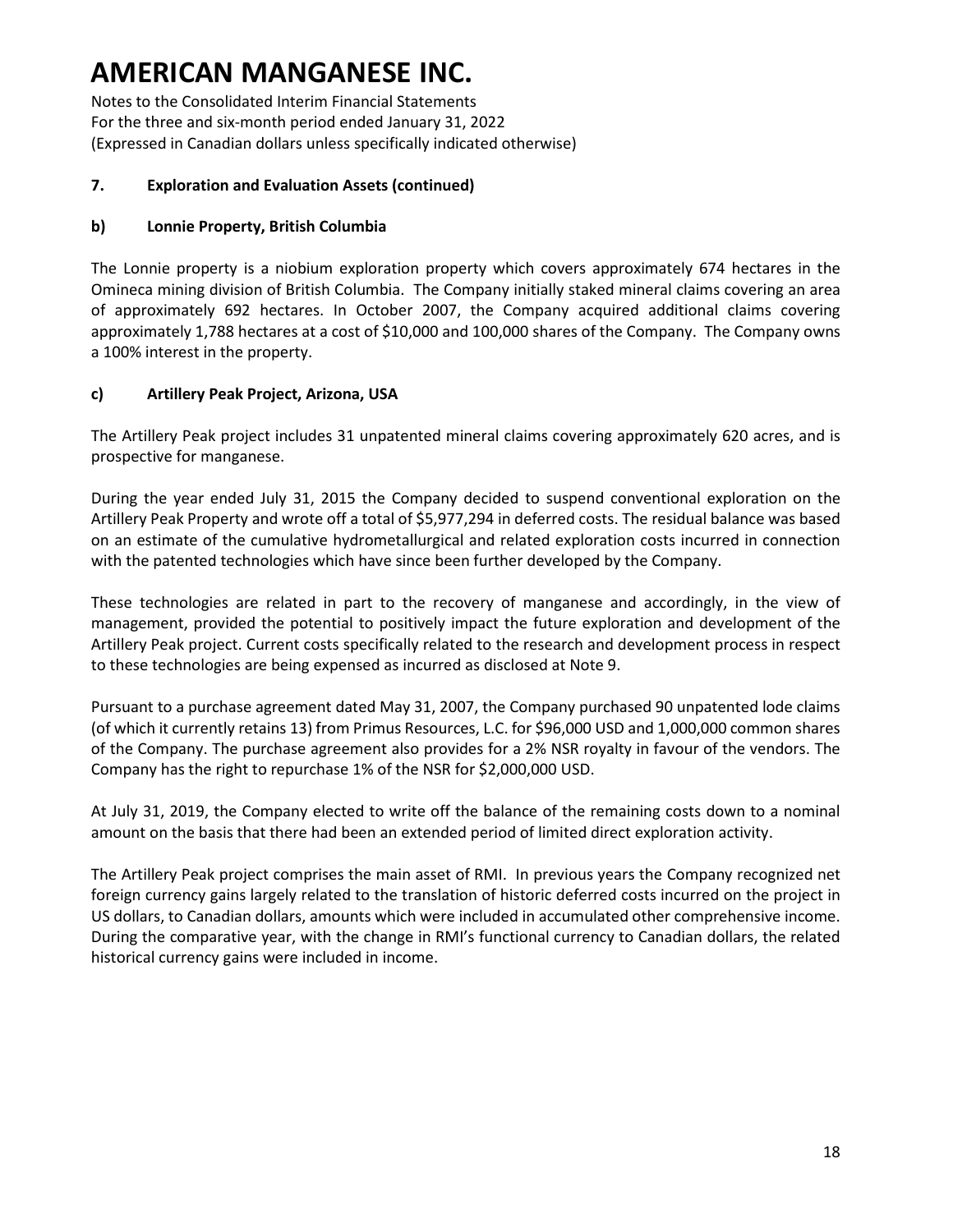Notes to the Consolidated Interim Financial Statements For the three and six-month period ended January 31, 2022 (Expressed in Canadian dollars unless specifically indicated otherwise)

#### **7. Exploration and Evaluation Assets (continued)**

### **b) Lonnie Property, British Columbia**

The Lonnie property is a niobium exploration property which covers approximately 674 hectares in the Omineca mining division of British Columbia. The Company initially staked mineral claims covering an area of approximately 692 hectares. In October 2007, the Company acquired additional claims covering approximately 1,788 hectares at a cost of \$10,000 and 100,000 shares of the Company. The Company owns a 100% interest in the property.

### **c) Artillery Peak Project, Arizona, USA**

The Artillery Peak project includes 31 unpatented mineral claims covering approximately 620 acres, and is prospective for manganese.

During the year ended July 31, 2015 the Company decided to suspend conventional exploration on the Artillery Peak Property and wrote off a total of \$5,977,294 in deferred costs. The residual balance was based on an estimate of the cumulative hydrometallurgical and related exploration costs incurred in connection with the patented technologies which have since been further developed by the Company.

These technologies are related in part to the recovery of manganese and accordingly, in the view of management, provided the potential to positively impact the future exploration and development of the Artillery Peak project. Current costs specifically related to the research and development process in respect to these technologies are being expensed as incurred as disclosed at Note 9.

Pursuant to a purchase agreement dated May 31, 2007, the Company purchased 90 unpatented lode claims (of which it currently retains 13) from Primus Resources, L.C. for \$96,000 USD and 1,000,000 common shares of the Company. The purchase agreement also provides for a 2% NSR royalty in favour of the vendors. The Company has the right to repurchase 1% of the NSR for \$2,000,000 USD.

At July 31, 2019, the Company elected to write off the balance of the remaining costs down to a nominal amount on the basis that there had been an extended period of limited direct exploration activity.

The Artillery Peak project comprises the main asset of RMI. In previous years the Company recognized net foreign currency gains largely related to the translation of historic deferred costs incurred on the project in US dollars, to Canadian dollars, amounts which were included in accumulated other comprehensive income. During the comparative year, with the change in RMI's functional currency to Canadian dollars, the related historical currency gains were included in income.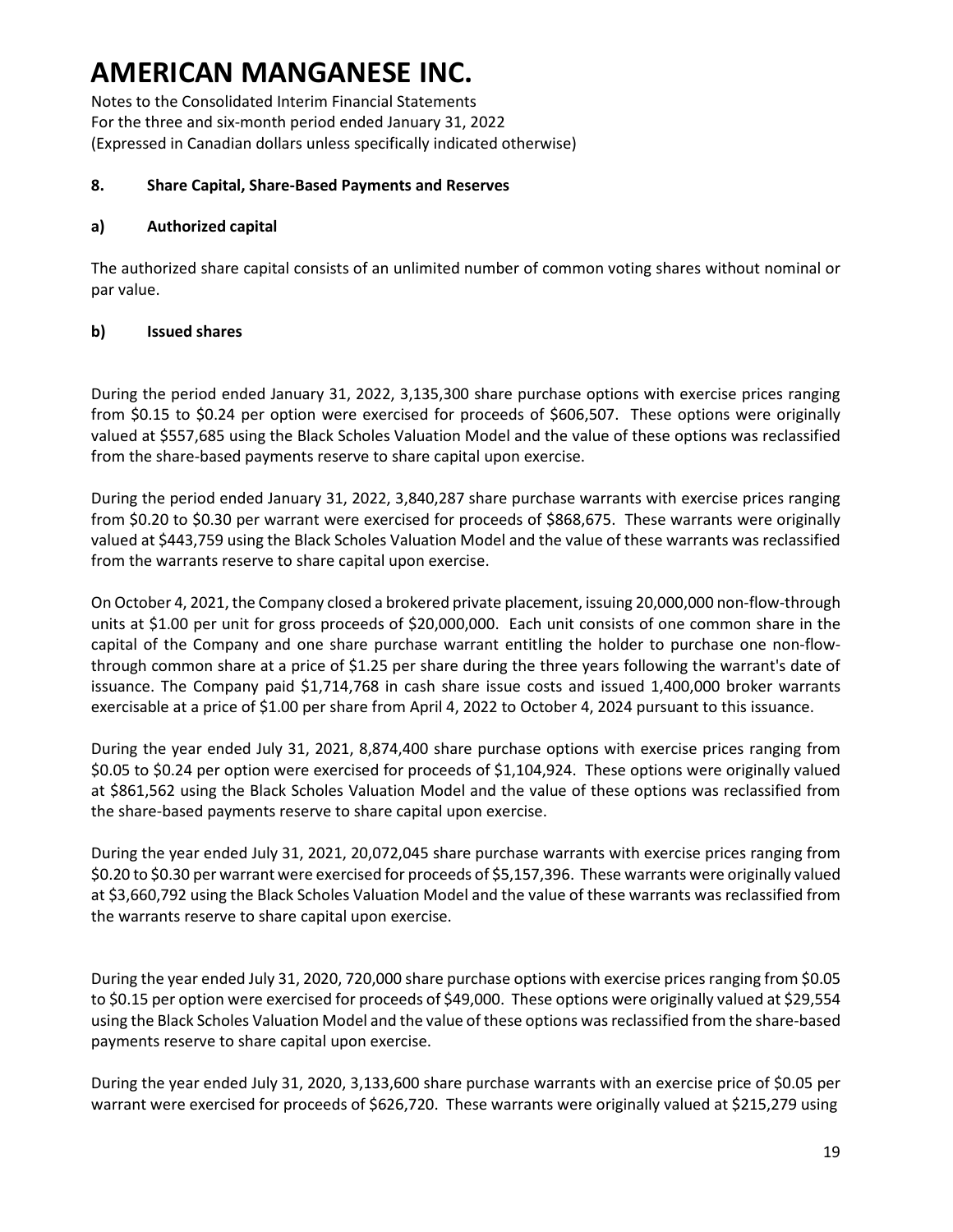Notes to the Consolidated Interim Financial Statements For the three and six-month period ended January 31, 2022 (Expressed in Canadian dollars unless specifically indicated otherwise)

#### **8. Share Capital, Share-Based Payments and Reserves**

#### **a) Authorized capital**

The authorized share capital consists of an unlimited number of common voting shares without nominal or par value.

### **b) Issued shares**

During the period ended January 31, 2022, 3,135,300 share purchase options with exercise prices ranging from \$0.15 to \$0.24 per option were exercised for proceeds of \$606,507. These options were originally valued at \$557,685 using the Black Scholes Valuation Model and the value of these options was reclassified from the share-based payments reserve to share capital upon exercise.

During the period ended January 31, 2022, 3,840,287 share purchase warrants with exercise prices ranging from \$0.20 to \$0.30 per warrant were exercised for proceeds of \$868,675. These warrants were originally valued at \$443,759 using the Black Scholes Valuation Model and the value of these warrants was reclassified from the warrants reserve to share capital upon exercise.

On October 4, 2021, the Company closed a brokered private placement, issuing 20,000,000 non-flow-through units at \$1.00 per unit for gross proceeds of \$20,000,000. Each unit consists of one common share in the capital of the Company and one share purchase warrant entitling the holder to purchase one non-flowthrough common share at a price of \$1.25 per share during the three years following the warrant's date of issuance. The Company paid \$1,714,768 in cash share issue costs and issued 1,400,000 broker warrants exercisable at a price of \$1.00 per share from April 4, 2022 to October 4, 2024 pursuant to this issuance.

During the year ended July 31, 2021, 8,874,400 share purchase options with exercise prices ranging from \$0.05 to \$0.24 per option were exercised for proceeds of \$1,104,924. These options were originally valued at \$861,562 using the Black Scholes Valuation Model and the value of these options was reclassified from the share-based payments reserve to share capital upon exercise.

During the year ended July 31, 2021, 20,072,045 share purchase warrants with exercise prices ranging from \$0.20 to \$0.30 per warrant were exercised for proceeds of \$5,157,396. These warrants were originally valued at \$3,660,792 using the Black Scholes Valuation Model and the value of these warrants was reclassified from the warrants reserve to share capital upon exercise.

During the year ended July 31, 2020, 720,000 share purchase options with exercise prices ranging from \$0.05 to \$0.15 per option were exercised for proceeds of \$49,000. These options were originally valued at \$29,554 using the Black Scholes Valuation Model and the value of these options was reclassified from the share-based payments reserve to share capital upon exercise.

During the year ended July 31, 2020, 3,133,600 share purchase warrants with an exercise price of \$0.05 per warrant were exercised for proceeds of \$626,720. These warrants were originally valued at \$215,279 using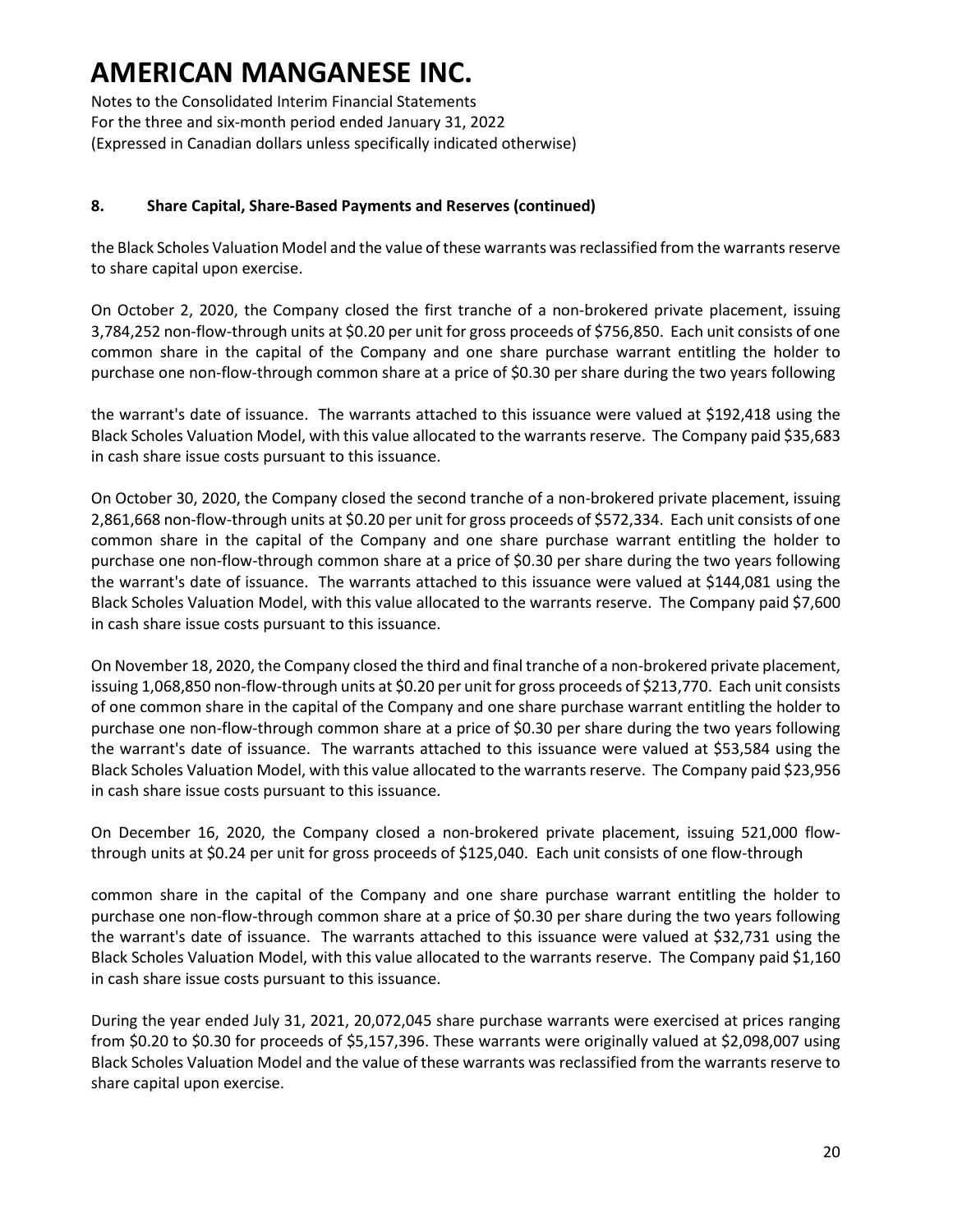Notes to the Consolidated Interim Financial Statements For the three and six-month period ended January 31, 2022 (Expressed in Canadian dollars unless specifically indicated otherwise)

#### **8. Share Capital, Share-Based Payments and Reserves (continued)**

the Black Scholes Valuation Model and the value of these warrants was reclassified from the warrants reserve to share capital upon exercise.

On October 2, 2020, the Company closed the first tranche of a non-brokered private placement, issuing 3,784,252 non-flow-through units at \$0.20 per unit for gross proceeds of \$756,850. Each unit consists of one common share in the capital of the Company and one share purchase warrant entitling the holder to purchase one non-flow-through common share at a price of \$0.30 per share during the two years following

the warrant's date of issuance. The warrants attached to this issuance were valued at \$192,418 using the Black Scholes Valuation Model, with this value allocated to the warrants reserve. The Company paid \$35,683 in cash share issue costs pursuant to this issuance.

On October 30, 2020, the Company closed the second tranche of a non-brokered private placement, issuing 2,861,668 non-flow-through units at \$0.20 per unit for gross proceeds of \$572,334. Each unit consists of one common share in the capital of the Company and one share purchase warrant entitling the holder to purchase one non-flow-through common share at a price of \$0.30 per share during the two years following the warrant's date of issuance. The warrants attached to this issuance were valued at \$144,081 using the Black Scholes Valuation Model, with this value allocated to the warrants reserve. The Company paid \$7,600 in cash share issue costs pursuant to this issuance.

On November 18, 2020, the Company closed the third and final tranche of a non-brokered private placement, issuing 1,068,850 non-flow-through units at \$0.20 per unit for gross proceeds of \$213,770. Each unit consists of one common share in the capital of the Company and one share purchase warrant entitling the holder to purchase one non-flow-through common share at a price of \$0.30 per share during the two years following the warrant's date of issuance. The warrants attached to this issuance were valued at \$53,584 using the Black Scholes Valuation Model, with this value allocated to the warrants reserve. The Company paid \$23,956 in cash share issue costs pursuant to this issuance.

On December 16, 2020, the Company closed a non-brokered private placement, issuing 521,000 flowthrough units at \$0.24 per unit for gross proceeds of \$125,040. Each unit consists of one flow-through

common share in the capital of the Company and one share purchase warrant entitling the holder to purchase one non-flow-through common share at a price of \$0.30 per share during the two years following the warrant's date of issuance. The warrants attached to this issuance were valued at \$32,731 using the Black Scholes Valuation Model, with this value allocated to the warrants reserve. The Company paid \$1,160 in cash share issue costs pursuant to this issuance.

During the year ended July 31, 2021, 20,072,045 share purchase warrants were exercised at prices ranging from \$0.20 to \$0.30 for proceeds of \$5,157,396. These warrants were originally valued at \$2,098,007 using Black Scholes Valuation Model and the value of these warrants was reclassified from the warrants reserve to share capital upon exercise.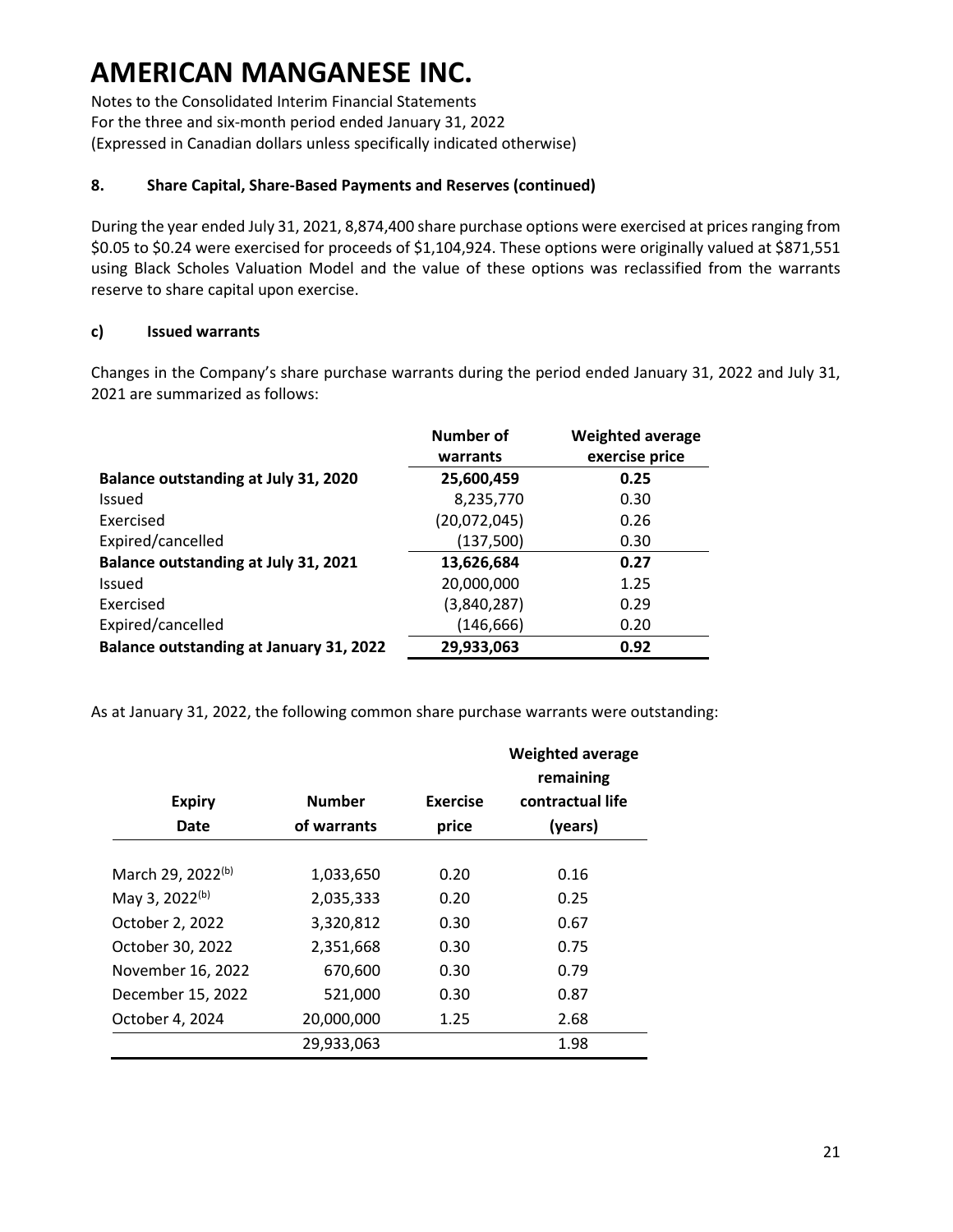Notes to the Consolidated Interim Financial Statements For the three and six-month period ended January 31, 2022 (Expressed in Canadian dollars unless specifically indicated otherwise)

#### **8. Share Capital, Share-Based Payments and Reserves (continued)**

During the year ended July 31, 2021, 8,874,400 share purchase options were exercised at prices ranging from \$0.05 to \$0.24 were exercised for proceeds of \$1,104,924. These options were originally valued at \$871,551 using Black Scholes Valuation Model and the value of these options was reclassified from the warrants reserve to share capital upon exercise.

#### **c) Issued warrants**

Changes in the Company's share purchase warrants during the period ended January 31, 2022 and July 31, 2021 are summarized as follows:

|                                                | Number of    | <b>Weighted average</b> |
|------------------------------------------------|--------------|-------------------------|
|                                                | warrants     | exercise price          |
| Balance outstanding at July 31, 2020           | 25,600,459   | 0.25                    |
| Issued                                         | 8,235,770    | 0.30                    |
| Exercised                                      | (20,072,045) | 0.26                    |
| Expired/cancelled                              | (137,500)    | 0.30                    |
| Balance outstanding at July 31, 2021           | 13,626,684   | 0.27                    |
| Issued                                         | 20,000,000   | 1.25                    |
| Exercised                                      | (3,840,287)  | 0.29                    |
| Expired/cancelled                              | (146, 666)   | 0.20                    |
| <b>Balance outstanding at January 31, 2022</b> | 29,933,063   | 0.92                    |

As at January 31, 2022, the following common share purchase warrants were outstanding:

| <b>Expiry</b>                 | <b>Number</b> | <b>Exercise</b> | <b>Weighted average</b><br>remaining<br>contractual life |
|-------------------------------|---------------|-----------------|----------------------------------------------------------|
| Date                          | of warrants   | price           | (years)                                                  |
|                               |               |                 |                                                          |
| March 29, 2022 <sup>(b)</sup> | 1,033,650     | 0.20            | 0.16                                                     |
| May 3, 2022(b)                | 2,035,333     | 0.20            | 0.25                                                     |
| October 2, 2022               | 3,320,812     | 0.30            | 0.67                                                     |
| October 30, 2022              | 2,351,668     | 0.30            | 0.75                                                     |
| November 16, 2022             | 670,600       | 0.30            | 0.79                                                     |
| December 15, 2022             | 521,000       | 0.30            | 0.87                                                     |
| October 4, 2024               | 20,000,000    | 1.25            | 2.68                                                     |
|                               | 29,933,063    |                 | 1.98                                                     |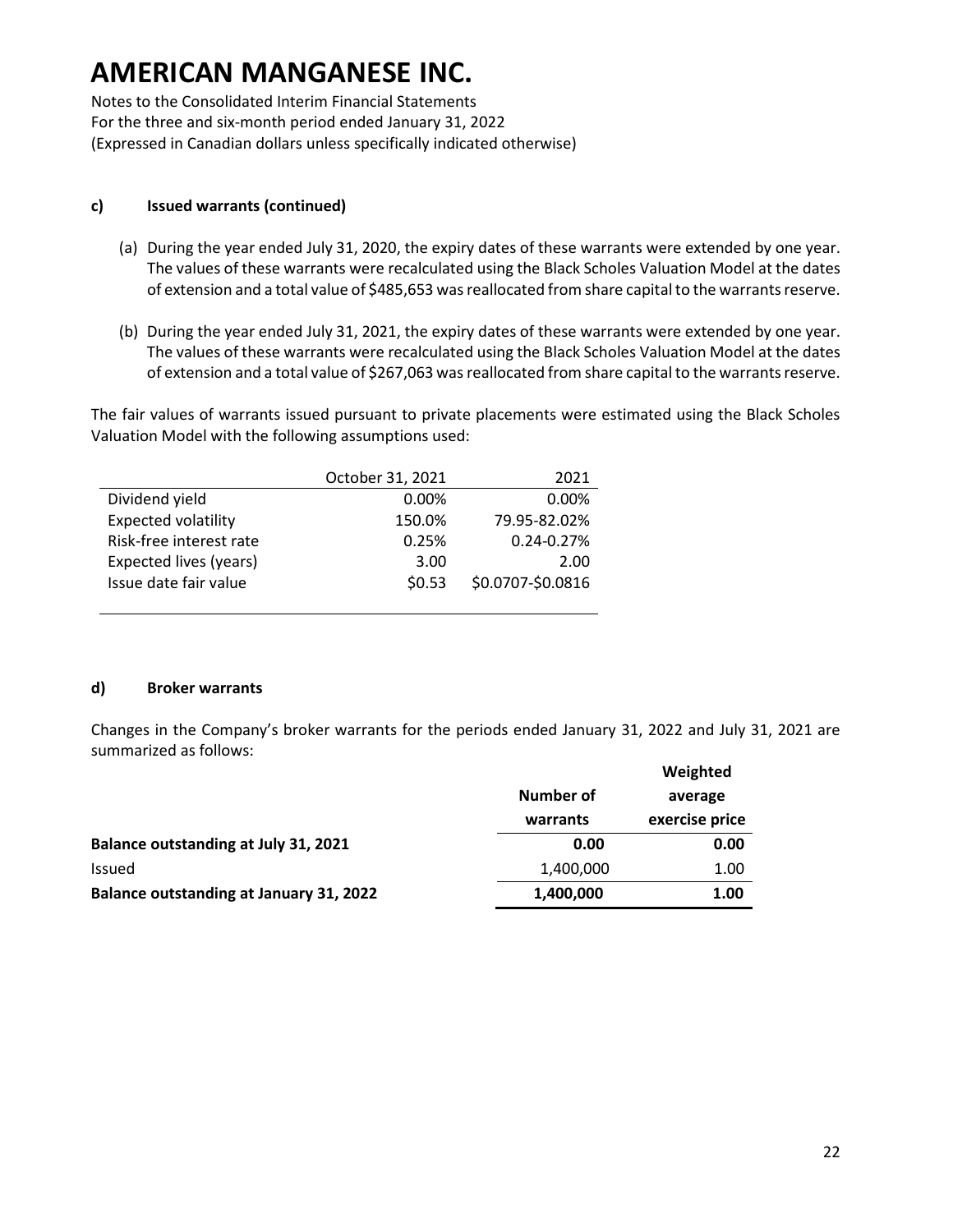Notes to the Consolidated Interim Financial Statements For the three and six-month period ended January 31, 2022 (Expressed in Canadian dollars unless specifically indicated otherwise)

#### **c) Issued warrants (continued)**

- (a) During the year ended July 31, 2020, the expiry dates of these warrants were extended by one year. The values of these warrants were recalculated using the Black Scholes Valuation Model at the dates of extension and a total value of \$485,653 was reallocated from share capital to the warrants reserve.
- (b) During the year ended July 31, 2021, the expiry dates of these warrants were extended by one year. The values of these warrants were recalculated using the Black Scholes Valuation Model at the dates of extension and a total value of \$267,063 was reallocated from share capital to the warrants reserve.

The fair values of warrants issued pursuant to private placements were estimated using the Black Scholes Valuation Model with the following assumptions used:

|                            | October 31, 2021 | 2021              |
|----------------------------|------------------|-------------------|
| Dividend yield             | $0.00\%$         | $0.00\%$          |
| <b>Expected volatility</b> | 150.0%           | 79.95-82.02%      |
| Risk-free interest rate    | 0.25%            | 0.24-0.27%        |
| Expected lives (years)     | 3.00             | 2.00              |
| Issue date fair value      | \$0.53           | \$0.0707-\$0.0816 |
|                            |                  |                   |

#### **d) Broker warrants**

Changes in the Company's broker warrants for the periods ended January 31, 2022 and July 31, 2021 are summarized as follows:

|                                                |           | Weighted       |
|------------------------------------------------|-----------|----------------|
|                                                | Number of | average        |
|                                                | warrants  | exercise price |
| Balance outstanding at July 31, 2021           | 0.00      | 0.00           |
| <b>Issued</b>                                  | 1,400,000 | 1.00           |
| <b>Balance outstanding at January 31, 2022</b> | 1,400,000 | 1.00           |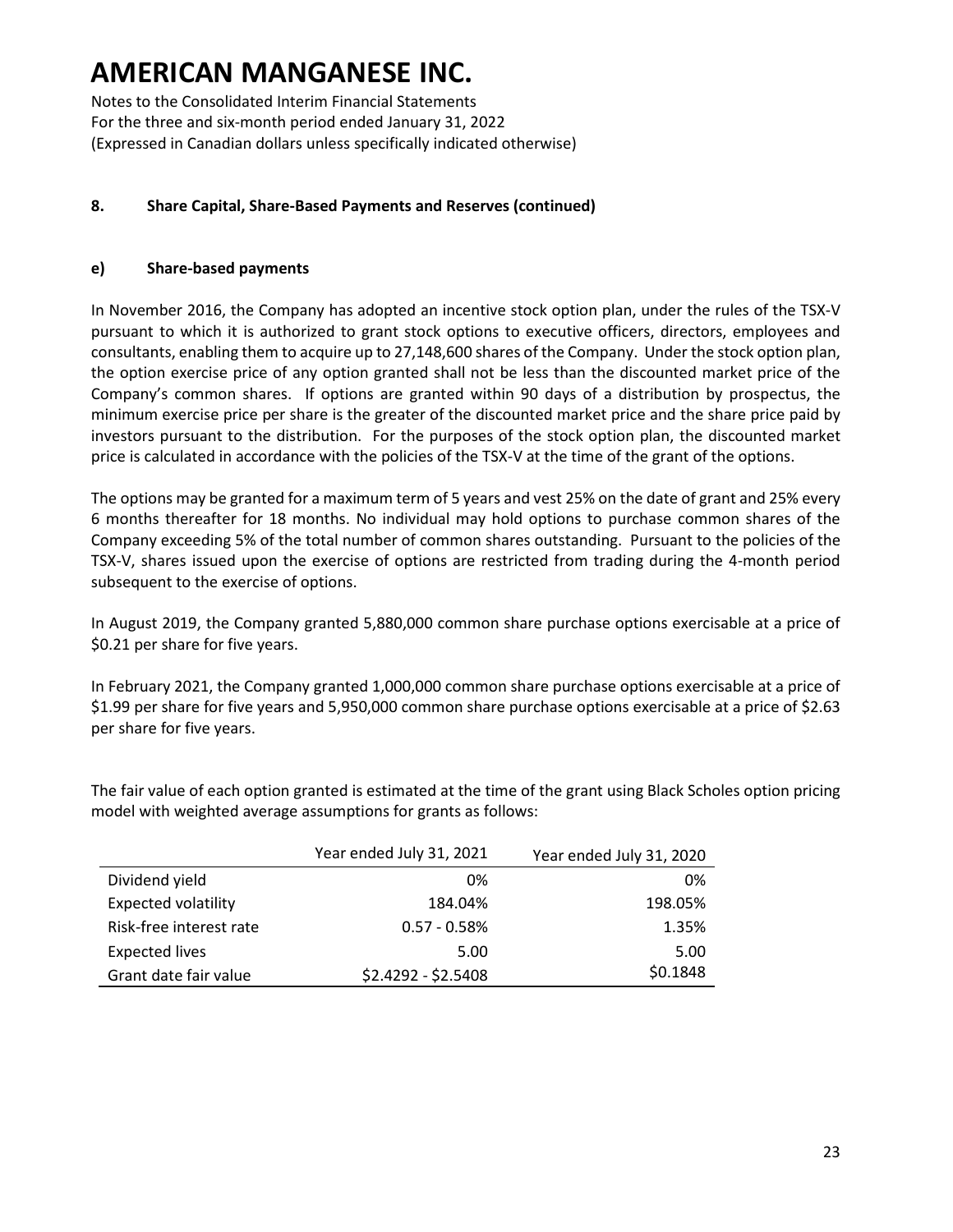Notes to the Consolidated Interim Financial Statements For the three and six-month period ended January 31, 2022 (Expressed in Canadian dollars unless specifically indicated otherwise)

### **8. Share Capital, Share-Based Payments and Reserves (continued)**

#### **e) Share-based payments**

In November 2016, the Company has adopted an incentive stock option plan, under the rules of the TSX-V pursuant to which it is authorized to grant stock options to executive officers, directors, employees and consultants, enabling them to acquire up to 27,148,600 shares of the Company. Under the stock option plan, the option exercise price of any option granted shall not be less than the discounted market price of the Company's common shares. If options are granted within 90 days of a distribution by prospectus, the minimum exercise price per share is the greater of the discounted market price and the share price paid by investors pursuant to the distribution. For the purposes of the stock option plan, the discounted market price is calculated in accordance with the policies of the TSX-V at the time of the grant of the options.

The options may be granted for a maximum term of 5 years and vest 25% on the date of grant and 25% every 6 months thereafter for 18 months. No individual may hold options to purchase common shares of the Company exceeding 5% of the total number of common shares outstanding. Pursuant to the policies of the TSX-V, shares issued upon the exercise of options are restricted from trading during the 4-month period subsequent to the exercise of options.

In August 2019, the Company granted 5,880,000 common share purchase options exercisable at a price of \$0.21 per share for five years.

In February 2021, the Company granted 1,000,000 common share purchase options exercisable at a price of \$1.99 per share for five years and 5,950,000 common share purchase options exercisable at a price of \$2.63 per share for five years.

The fair value of each option granted is estimated at the time of the grant using Black Scholes option pricing model with weighted average assumptions for grants as follows:

|                            | Year ended July 31, 2021 | Year ended July 31, 2020 |
|----------------------------|--------------------------|--------------------------|
| Dividend yield             | 0%                       | 0%                       |
| <b>Expected volatility</b> | 184.04%                  | 198.05%                  |
| Risk-free interest rate    | $0.57 - 0.58%$           | 1.35%                    |
| <b>Expected lives</b>      | 5.00                     | 5.00                     |
| Grant date fair value      | \$2.4292 - \$2.5408      | \$0.1848                 |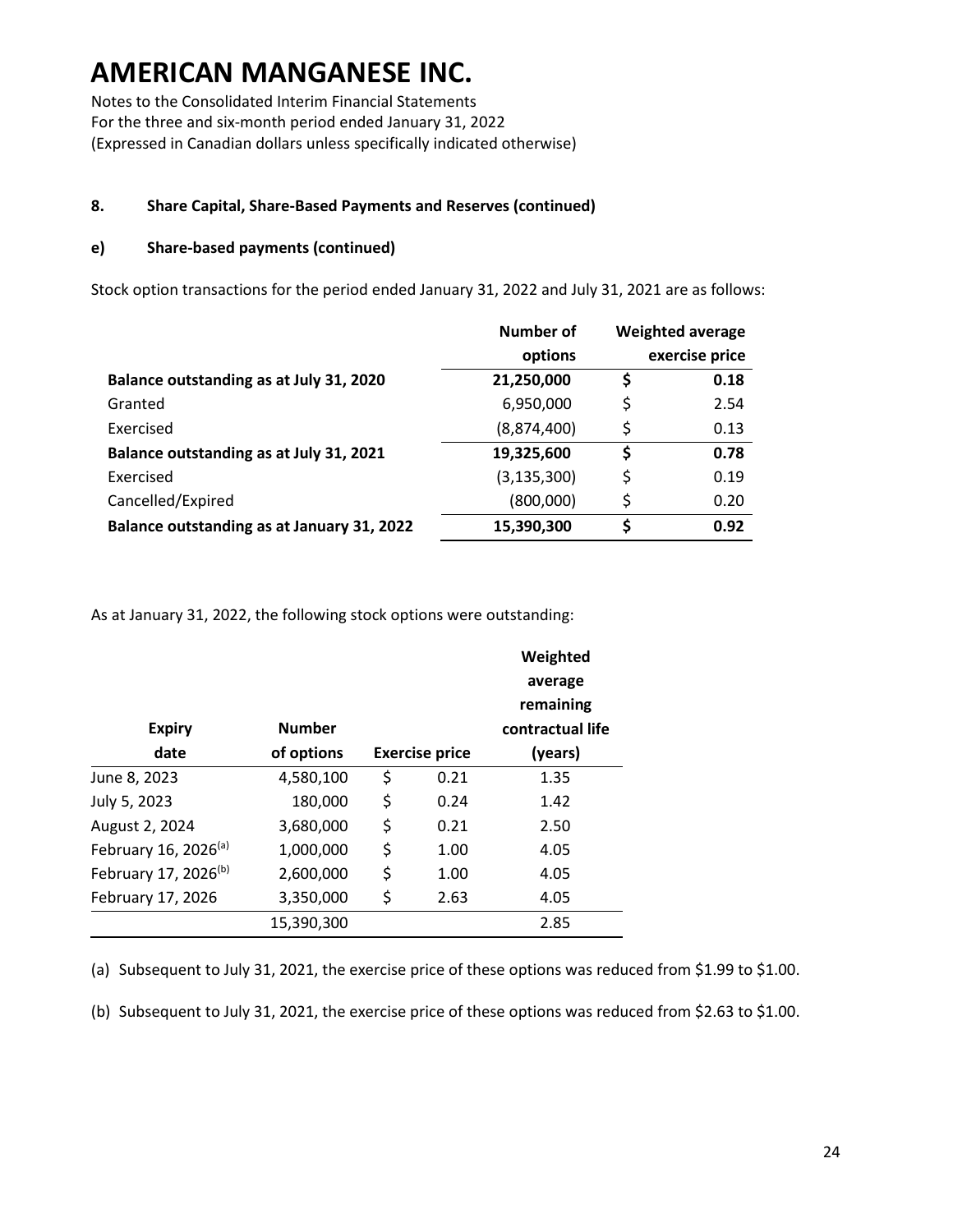Notes to the Consolidated Interim Financial Statements For the three and six-month period ended January 31, 2022 (Expressed in Canadian dollars unless specifically indicated otherwise)

### **8. Share Capital, Share-Based Payments and Reserves (continued)**

#### **e) Share-based payments (continued)**

Stock option transactions for the period ended January 31, 2022 and July 31, 2021 are as follows:

|                                            | Number of     |    | <b>Weighted average</b> |
|--------------------------------------------|---------------|----|-------------------------|
|                                            | options       |    | exercise price          |
| Balance outstanding as at July 31, 2020    | 21,250,000    | \$ | 0.18                    |
| Granted                                    | 6,950,000     | \$ | 2.54                    |
| Exercised                                  | (8,874,400)   | \$ | 0.13                    |
| Balance outstanding as at July 31, 2021    | 19,325,600    | \$ | 0.78                    |
| Exercised                                  | (3, 135, 300) | \$ | 0.19                    |
| Cancelled/Expired                          | (800,000)     | \$ | 0.20                    |
| Balance outstanding as at January 31, 2022 | 15,390,300    | Ś  | 0.92                    |

As at January 31, 2022, the following stock options were outstanding:

|                                  |               |    |                       | average          |
|----------------------------------|---------------|----|-----------------------|------------------|
|                                  |               |    |                       | remaining        |
| <b>Expiry</b>                    | <b>Number</b> |    |                       | contractual life |
| date                             | of options    |    | <b>Exercise price</b> | (years)          |
| June 8, 2023                     | 4,580,100     | \$ | 0.21                  | 1.35             |
| July 5, 2023                     | 180,000       | \$ | 0.24                  | 1.42             |
| August 2, 2024                   | 3,680,000     | \$ | 0.21                  | 2.50             |
| February 16, 2026 <sup>(a)</sup> | 1,000,000     | \$ | 1.00                  | 4.05             |
| February 17, 2026 <sup>(b)</sup> | 2,600,000     | \$ | 1.00                  | 4.05             |
| February 17, 2026                | 3,350,000     | \$ | 2.63                  | 4.05             |
|                                  | 15,390,300    |    |                       | 2.85             |

(a) Subsequent to July 31, 2021, the exercise price of these options was reduced from \$1.99 to \$1.00.

(b) Subsequent to July 31, 2021, the exercise price of these options was reduced from \$2.63 to \$1.00.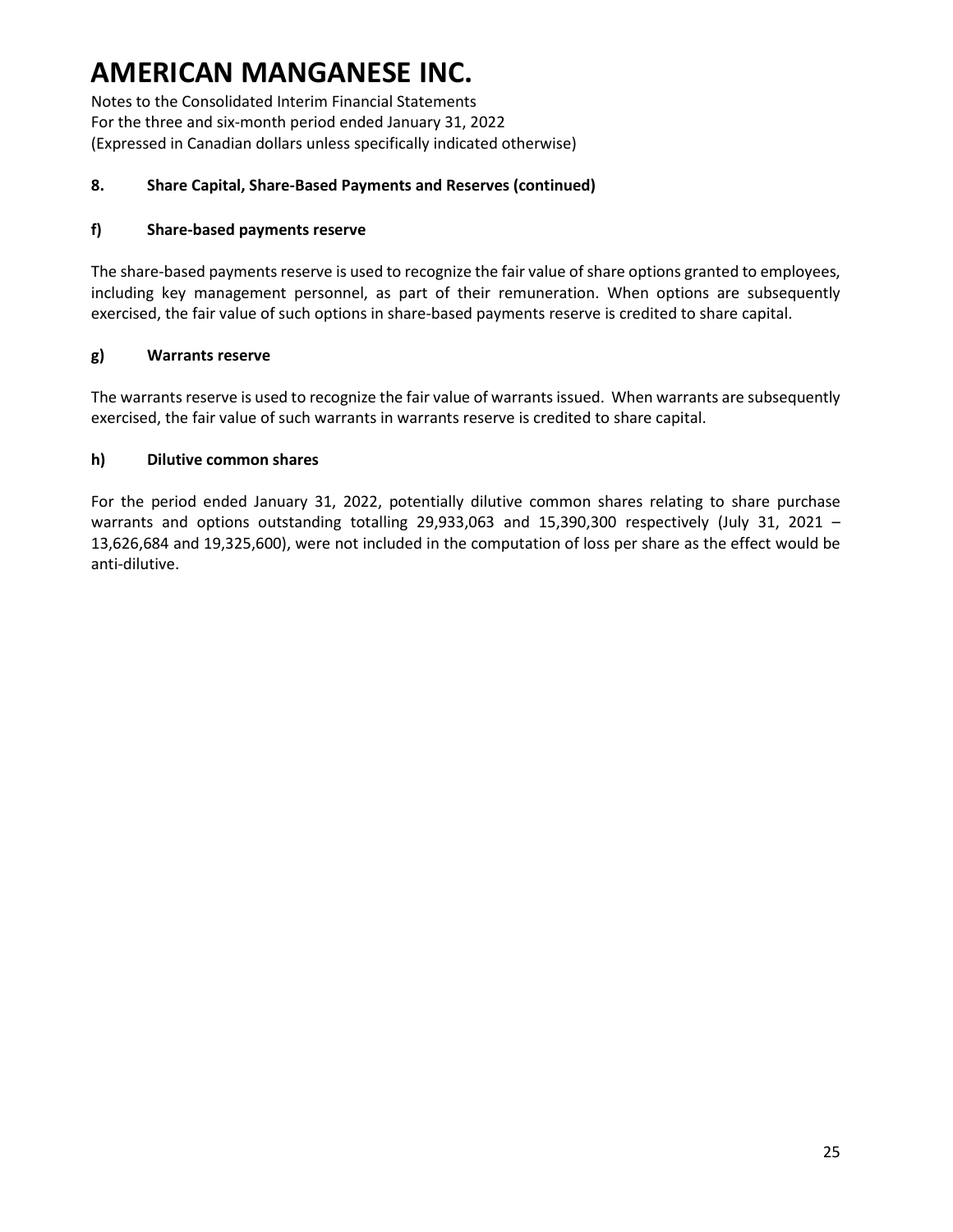Notes to the Consolidated Interim Financial Statements For the three and six-month period ended January 31, 2022 (Expressed in Canadian dollars unless specifically indicated otherwise)

#### **8. Share Capital, Share-Based Payments and Reserves (continued)**

#### **f) Share-based payments reserve**

The share-based payments reserve is used to recognize the fair value of share options granted to employees, including key management personnel, as part of their remuneration. When options are subsequently exercised, the fair value of such options in share-based payments reserve is credited to share capital.

### **g) Warrants reserve**

The warrants reserve is used to recognize the fair value of warrants issued. When warrants are subsequently exercised, the fair value of such warrants in warrants reserve is credited to share capital.

#### **h) Dilutive common shares**

For the period ended January 31, 2022, potentially dilutive common shares relating to share purchase warrants and options outstanding totalling 29,933,063 and 15,390,300 respectively (July 31, 2021 – 13,626,684 and 19,325,600), were not included in the computation of loss per share as the effect would be anti-dilutive.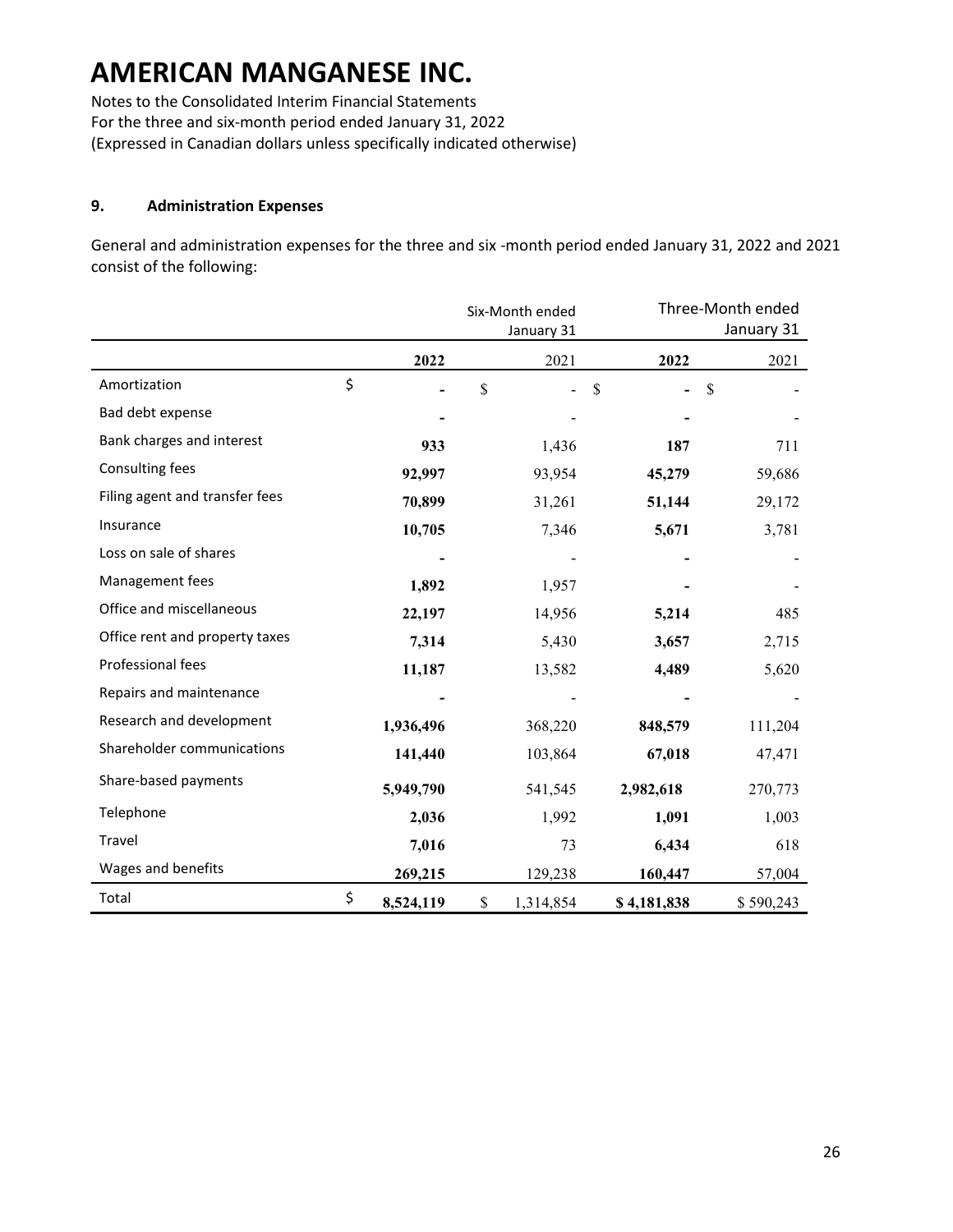Notes to the Consolidated Interim Financial Statements For the three and six-month period ended January 31, 2022 (Expressed in Canadian dollars unless specifically indicated otherwise)

#### **9. Administration Expenses**

General and administration expenses for the three and six -month period ended January 31, 2022 and 2021 consist of the following:

|                                | Six-Month ended |    | Three-Month ended |               |           |
|--------------------------------|-----------------|----|-------------------|---------------|-----------|
|                                | January 31      |    |                   | January 31    |           |
|                                | 2022            |    | 2021              | 2022          | 2021      |
| Amortization                   | \$              | \$ |                   | $\mathcal{S}$ | \$        |
| Bad debt expense               |                 |    |                   |               |           |
| Bank charges and interest      | 933             |    | 1,436             | 187           | 711       |
| Consulting fees                | 92,997          |    | 93,954            | 45,279        | 59,686    |
| Filing agent and transfer fees | 70,899          |    | 31,261            | 51,144        | 29,172    |
| Insurance                      | 10,705          |    | 7,346             | 5,671         | 3,781     |
| Loss on sale of shares         |                 |    |                   |               |           |
| Management fees                | 1,892           |    | 1,957             |               |           |
| Office and miscellaneous       | 22,197          |    | 14,956            | 5,214         | 485       |
| Office rent and property taxes | 7,314           |    | 5,430             | 3,657         | 2,715     |
| Professional fees              | 11,187          |    | 13,582            | 4,489         | 5,620     |
| Repairs and maintenance        |                 |    |                   |               |           |
| Research and development       | 1,936,496       |    | 368,220           | 848,579       | 111,204   |
| Shareholder communications     | 141,440         |    | 103,864           | 67,018        | 47,471    |
| Share-based payments           | 5,949,790       |    | 541,545           | 2,982,618     | 270,773   |
| Telephone                      | 2,036           |    | 1,992             | 1,091         | 1,003     |
| Travel                         | 7,016           |    | 73                | 6,434         | 618       |
| Wages and benefits             | 269,215         |    | 129,238           | 160,447       | 57,004    |
| Total                          | \$<br>8,524,119 | \$ | 1,314,854         | \$4,181,838   | \$590,243 |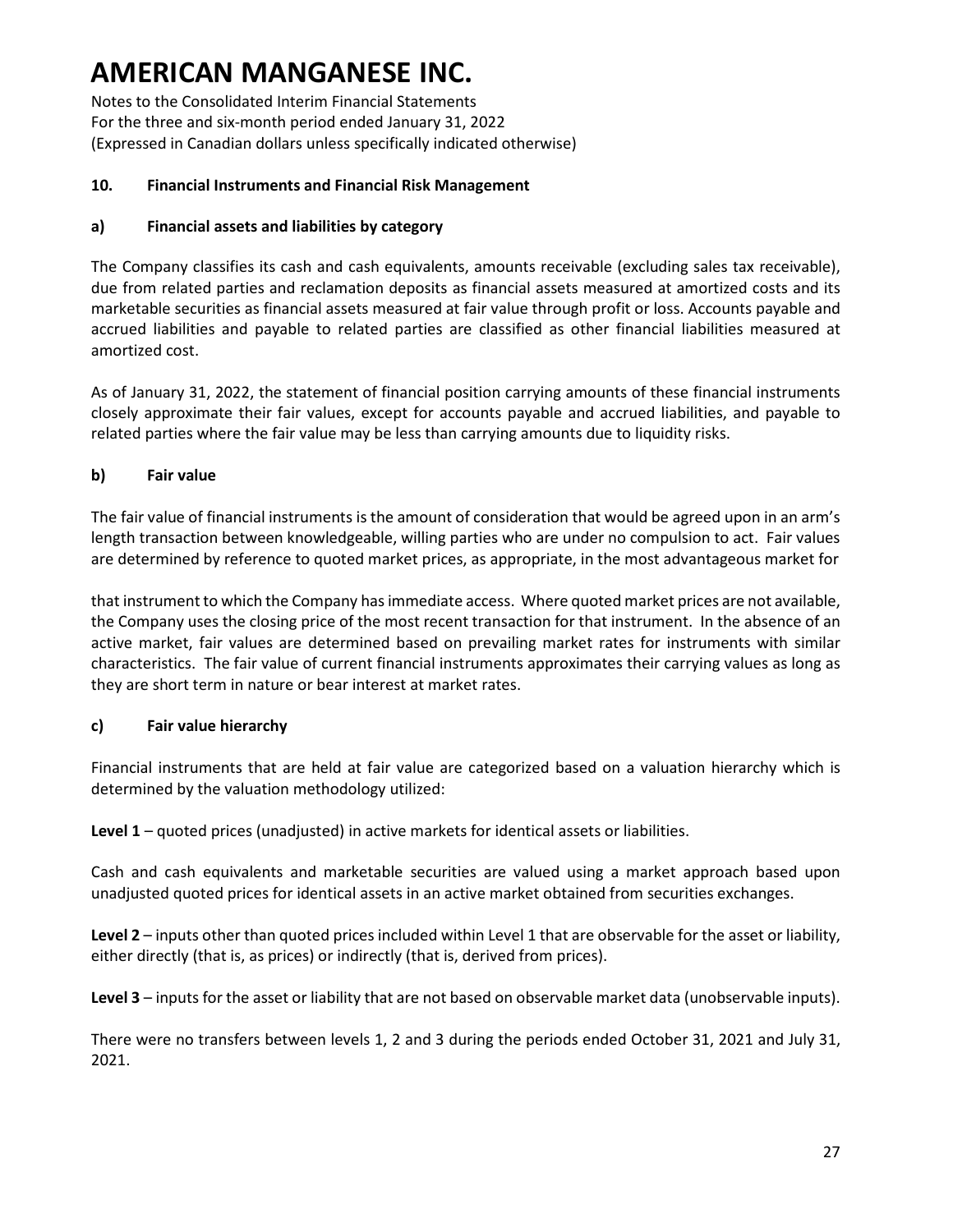Notes to the Consolidated Interim Financial Statements For the three and six-month period ended January 31, 2022 (Expressed in Canadian dollars unless specifically indicated otherwise)

#### **10. Financial Instruments and Financial Risk Management**

#### **a) Financial assets and liabilities by category**

The Company classifies its cash and cash equivalents, amounts receivable (excluding sales tax receivable), due from related parties and reclamation deposits as financial assets measured at amortized costs and its marketable securities as financial assets measured at fair value through profit or loss. Accounts payable and accrued liabilities and payable to related parties are classified as other financial liabilities measured at amortized cost.

As of January 31, 2022, the statement of financial position carrying amounts of these financial instruments closely approximate their fair values, except for accounts payable and accrued liabilities, and payable to related parties where the fair value may be less than carrying amounts due to liquidity risks.

### **b) Fair value**

The fair value of financial instruments is the amount of consideration that would be agreed upon in an arm's length transaction between knowledgeable, willing parties who are under no compulsion to act. Fair values are determined by reference to quoted market prices, as appropriate, in the most advantageous market for

that instrument to which the Company has immediate access. Where quoted market prices are not available, the Company uses the closing price of the most recent transaction for that instrument. In the absence of an active market, fair values are determined based on prevailing market rates for instruments with similar characteristics. The fair value of current financial instruments approximates their carrying values as long as they are short term in nature or bear interest at market rates.

#### **c) Fair value hierarchy**

Financial instruments that are held at fair value are categorized based on a valuation hierarchy which is determined by the valuation methodology utilized:

**Level 1** – quoted prices (unadjusted) in active markets for identical assets or liabilities.

Cash and cash equivalents and marketable securities are valued using a market approach based upon unadjusted quoted prices for identical assets in an active market obtained from securities exchanges.

**Level 2** – inputs other than quoted prices included within Level 1 that are observable for the asset or liability, either directly (that is, as prices) or indirectly (that is, derived from prices).

**Level 3** – inputs for the asset or liability that are not based on observable market data (unobservable inputs).

There were no transfers between levels 1, 2 and 3 during the periods ended October 31, 2021 and July 31, 2021.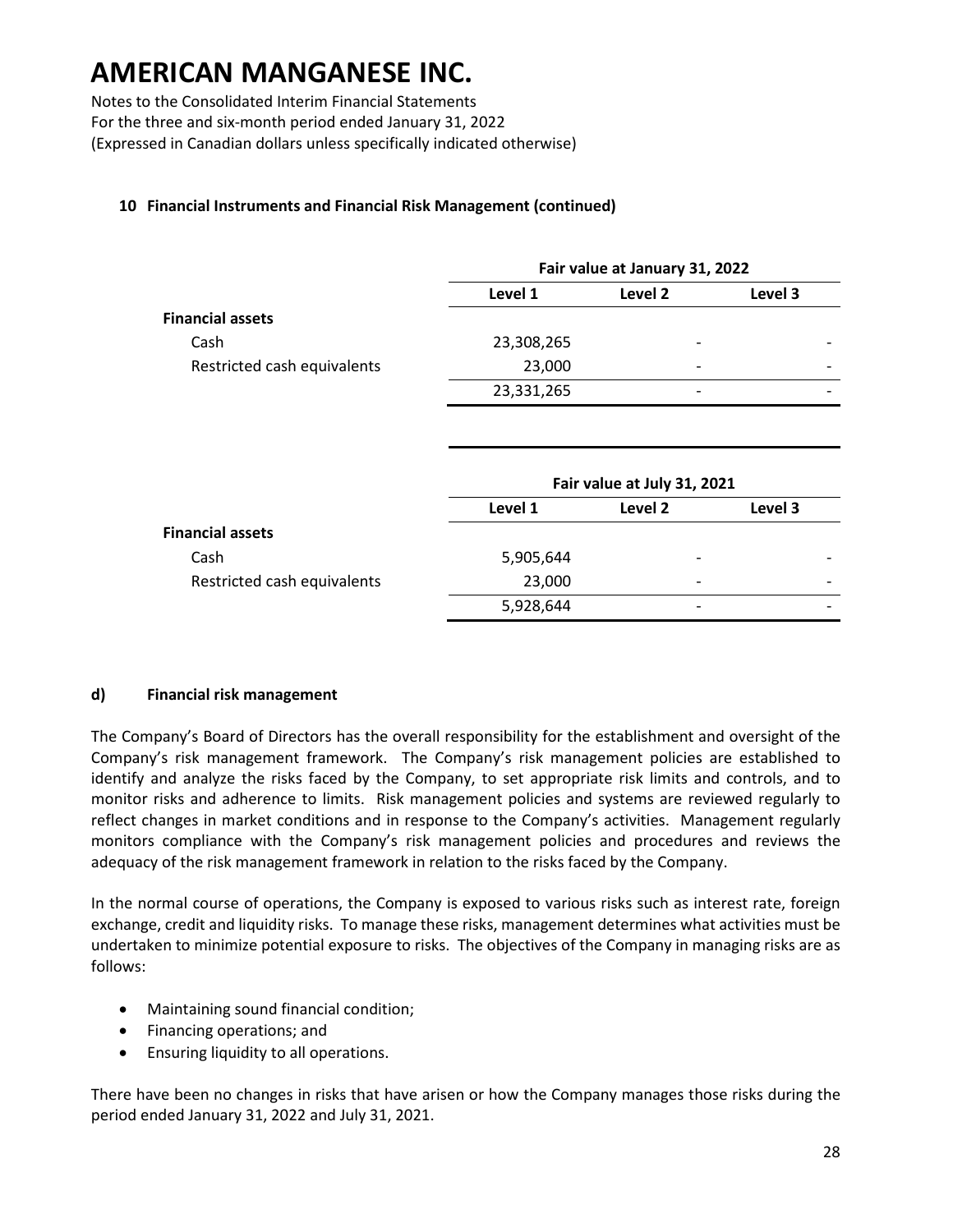Notes to the Consolidated Interim Financial Statements For the three and six-month period ended January 31, 2022 (Expressed in Canadian dollars unless specifically indicated otherwise)

#### **10 Financial Instruments and Financial Risk Management (continued)**

|                             | Fair value at January 31, 2022 |                          |         |  |  |
|-----------------------------|--------------------------------|--------------------------|---------|--|--|
|                             | Level 1                        | Level 2                  | Level 3 |  |  |
| <b>Financial assets</b>     |                                |                          |         |  |  |
| Cash                        | 23,308,265                     | $\overline{\phantom{0}}$ |         |  |  |
| Restricted cash equivalents | 23,000                         | $\overline{\phantom{0}}$ |         |  |  |
|                             | 23,331,265                     | $\overline{\phantom{0}}$ |         |  |  |
|                             |                                |                          |         |  |  |

|                             | Fair value at July 31, 2021 |                          |         |  |  |  |
|-----------------------------|-----------------------------|--------------------------|---------|--|--|--|
|                             | Level 1                     | Level 2                  | Level 3 |  |  |  |
| <b>Financial assets</b>     |                             |                          |         |  |  |  |
| Cash                        | 5,905,644                   | $\overline{\phantom{0}}$ |         |  |  |  |
| Restricted cash equivalents | 23,000                      | $\overline{\phantom{0}}$ | -       |  |  |  |
|                             | 5,928,644                   | $\overline{\phantom{0}}$ |         |  |  |  |

#### **d) Financial risk management**

The Company's Board of Directors has the overall responsibility for the establishment and oversight of the Company's risk management framework. The Company's risk management policies are established to identify and analyze the risks faced by the Company, to set appropriate risk limits and controls, and to monitor risks and adherence to limits. Risk management policies and systems are reviewed regularly to reflect changes in market conditions and in response to the Company's activities. Management regularly monitors compliance with the Company's risk management policies and procedures and reviews the adequacy of the risk management framework in relation to the risks faced by the Company.

In the normal course of operations, the Company is exposed to various risks such as interest rate, foreign exchange, credit and liquidity risks. To manage these risks, management determines what activities must be undertaken to minimize potential exposure to risks. The objectives of the Company in managing risks are as follows:

- Maintaining sound financial condition;
- Financing operations; and
- Ensuring liquidity to all operations.

There have been no changes in risks that have arisen or how the Company manages those risks during the period ended January 31, 2022 and July 31, 2021.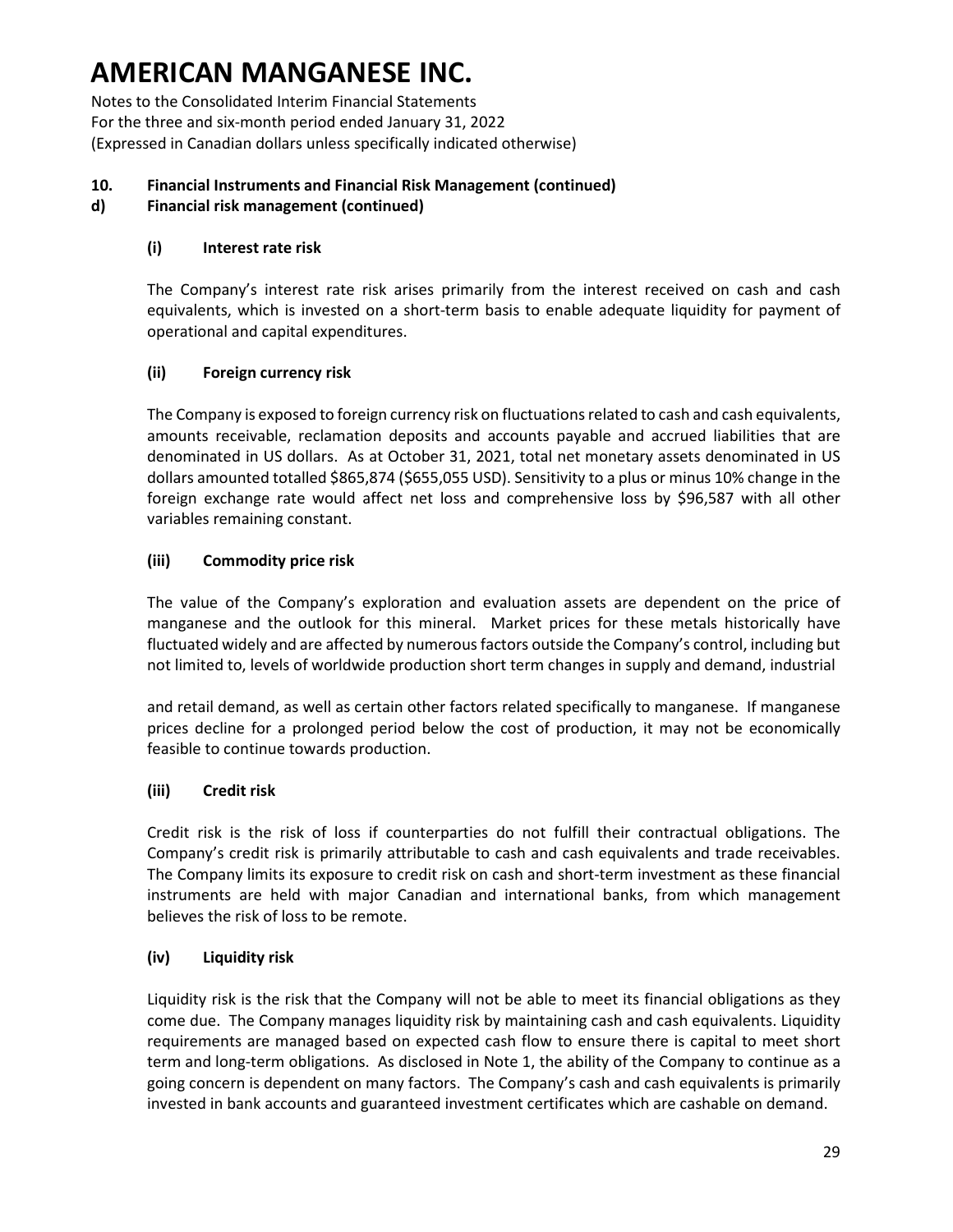Notes to the Consolidated Interim Financial Statements For the three and six-month period ended January 31, 2022 (Expressed in Canadian dollars unless specifically indicated otherwise)

### **10. Financial Instruments and Financial Risk Management (continued)**

#### **d) Financial risk management (continued)**

#### **(i) Interest rate risk**

The Company's interest rate risk arises primarily from the interest received on cash and cash equivalents, which is invested on a short-term basis to enable adequate liquidity for payment of operational and capital expenditures.

#### **(ii) Foreign currency risk**

The Company is exposed to foreign currency risk on fluctuations related to cash and cash equivalents, amounts receivable, reclamation deposits and accounts payable and accrued liabilities that are denominated in US dollars. As at October 31, 2021, total net monetary assets denominated in US dollars amounted totalled \$865,874 (\$655,055 USD). Sensitivity to a plus or minus 10% change in the foreign exchange rate would affect net loss and comprehensive loss by \$96,587 with all other variables remaining constant.

#### **(iii) Commodity price risk**

The value of the Company's exploration and evaluation assets are dependent on the price of manganese and the outlook for this mineral. Market prices for these metals historically have fluctuated widely and are affected by numerous factors outside the Company's control, including but not limited to, levels of worldwide production short term changes in supply and demand, industrial

and retail demand, as well as certain other factors related specifically to manganese. If manganese prices decline for a prolonged period below the cost of production, it may not be economically feasible to continue towards production.

#### **(iii) Credit risk**

Credit risk is the risk of loss if counterparties do not fulfill their contractual obligations. The Company's credit risk is primarily attributable to cash and cash equivalents and trade receivables. The Company limits its exposure to credit risk on cash and short-term investment as these financial instruments are held with major Canadian and international banks, from which management believes the risk of loss to be remote.

#### **(iv) Liquidity risk**

Liquidity risk is the risk that the Company will not be able to meet its financial obligations as they come due. The Company manages liquidity risk by maintaining cash and cash equivalents. Liquidity requirements are managed based on expected cash flow to ensure there is capital to meet short term and long-term obligations. As disclosed in Note 1, the ability of the Company to continue as a going concern is dependent on many factors. The Company's cash and cash equivalents is primarily invested in bank accounts and guaranteed investment certificates which are cashable on demand.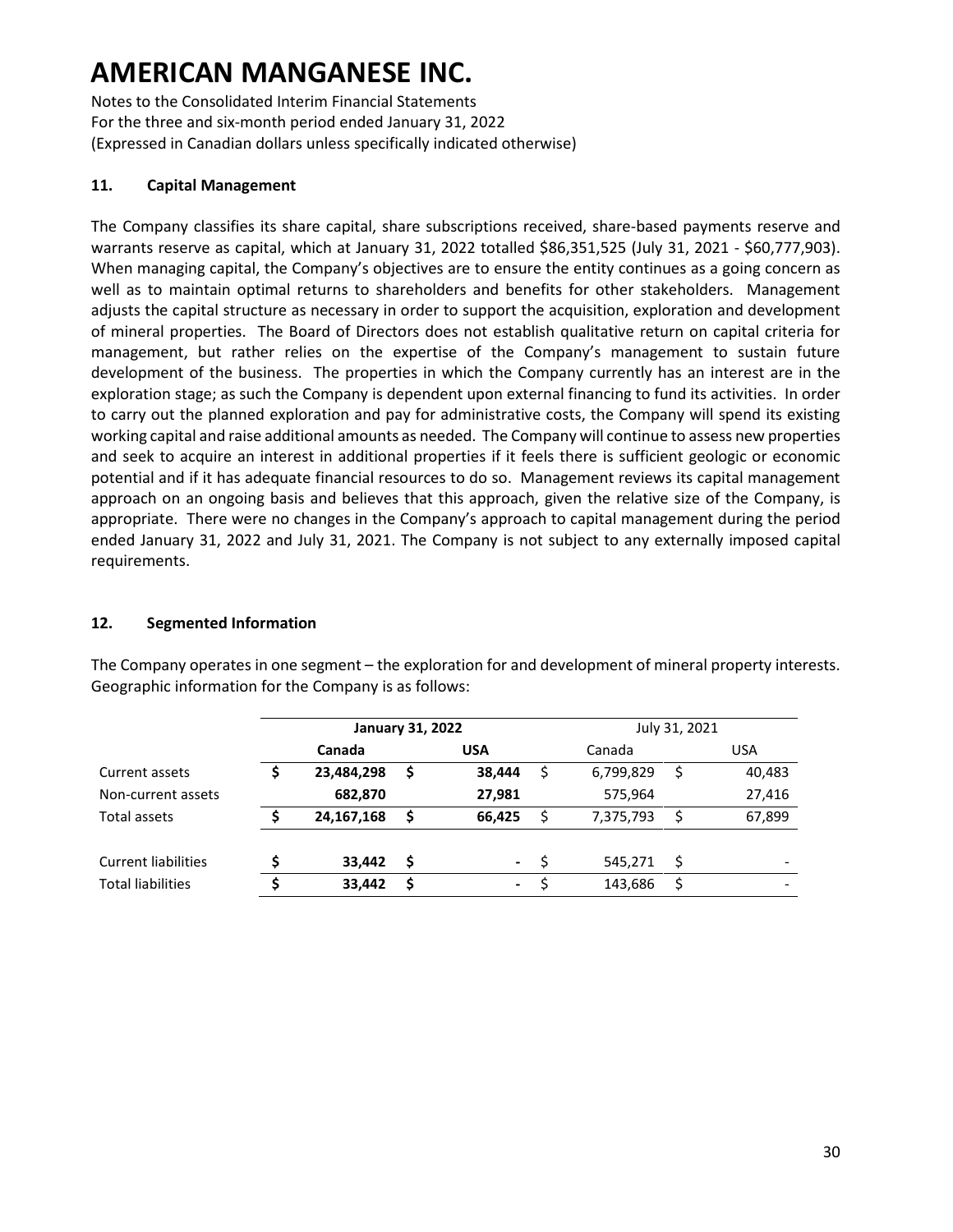Notes to the Consolidated Interim Financial Statements For the three and six-month period ended January 31, 2022 (Expressed in Canadian dollars unless specifically indicated otherwise)

### **11. Capital Management**

The Company classifies its share capital, share subscriptions received, share-based payments reserve and warrants reserve as capital, which at January 31, 2022 totalled \$86,351,525 (July 31, 2021 - \$60,777,903). When managing capital, the Company's objectives are to ensure the entity continues as a going concern as well as to maintain optimal returns to shareholders and benefits for other stakeholders. Management adjusts the capital structure as necessary in order to support the acquisition, exploration and development of mineral properties. The Board of Directors does not establish qualitative return on capital criteria for management, but rather relies on the expertise of the Company's management to sustain future development of the business. The properties in which the Company currently has an interest are in the exploration stage; as such the Company is dependent upon external financing to fund its activities. In order to carry out the planned exploration and pay for administrative costs, the Company will spend its existing working capital and raise additional amounts as needed. The Company will continue to assess new properties and seek to acquire an interest in additional properties if it feels there is sufficient geologic or economic potential and if it has adequate financial resources to do so. Management reviews its capital management approach on an ongoing basis and believes that this approach, given the relative size of the Company, is appropriate. There were no changes in the Company's approach to capital management during the period ended January 31, 2022 and July 31, 2021. The Company is not subject to any externally imposed capital requirements.

### **12. Segmented Information**

|                            |   | <b>January 31, 2022</b> |  |            |    | July 31, 2021 |    |                          |  |
|----------------------------|---|-------------------------|--|------------|----|---------------|----|--------------------------|--|
|                            |   | Canada                  |  | <b>USA</b> |    | Canada        |    | <b>USA</b>               |  |
| Current assets             |   | 23,484,298              |  | 38,444     | S  | 6,799,829     | \$ | 40,483                   |  |
| Non-current assets         |   | 682,870                 |  | 27,981     |    | 575,964       |    | 27,416                   |  |
| Total assets               |   | 24,167,168              |  | 66,425     |    | 7,375,793     | \$ | 67,899                   |  |
| <b>Current liabilities</b> | Ś | 33,442                  |  | $\sim 100$ | -S | 545,271       | Ŝ. |                          |  |
| <b>Total liabilities</b>   | Ś | 33.442                  |  | $\sim$     |    | 143,686       | \$ | $\overline{\phantom{0}}$ |  |

The Company operates in one segment – the exploration for and development of mineral property interests. Geographic information for the Company is as follows: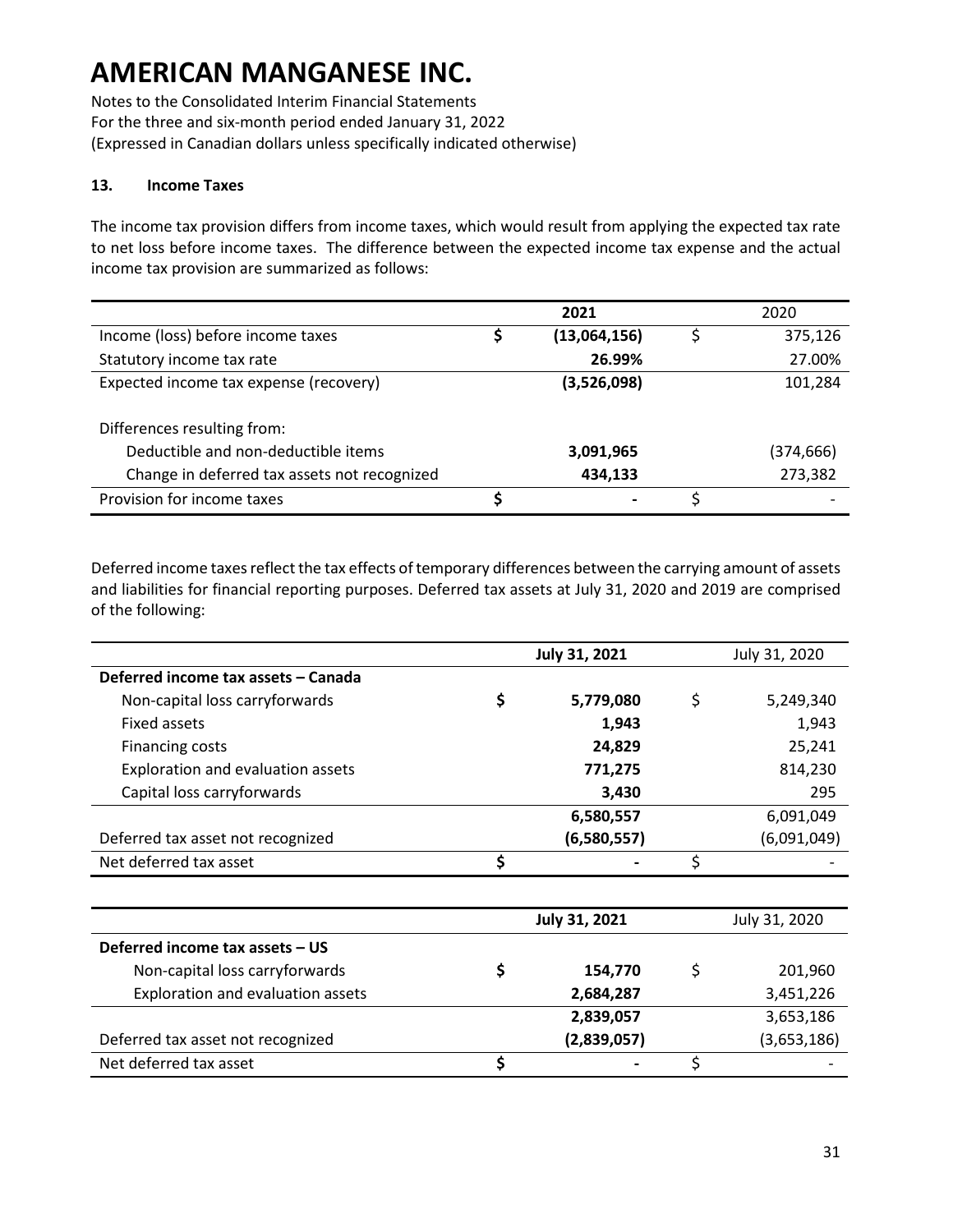Notes to the Consolidated Interim Financial Statements For the three and six-month period ended January 31, 2022 (Expressed in Canadian dollars unless specifically indicated otherwise)

#### **13. Income Taxes**

The income tax provision differs from income taxes, which would result from applying the expected tax rate to net loss before income taxes. The difference between the expected income tax expense and the actual income tax provision are summarized as follows:

|                                              |   | 2021         | 2020      |
|----------------------------------------------|---|--------------|-----------|
| Income (loss) before income taxes            | S | (13,064,156) | 375,126   |
| Statutory income tax rate                    |   | 26.99%       | 27.00%    |
| Expected income tax expense (recovery)       |   | (3,526,098)  | 101,284   |
|                                              |   |              |           |
| Differences resulting from:                  |   |              |           |
| Deductible and non-deductible items          |   | 3,091,965    | (374,666) |
| Change in deferred tax assets not recognized |   | 434,133      | 273,382   |
| Provision for income taxes                   |   |              |           |

Deferred income taxes reflect the tax effects of temporary differences between the carrying amount of assets and liabilities for financial reporting purposes. Deferred tax assets at July 31, 2020 and 2019 are comprised of the following:

|                                          | <b>July 31, 2021</b> | July 31, 2020   |
|------------------------------------------|----------------------|-----------------|
| Deferred income tax assets - Canada      |                      |                 |
| Non-capital loss carryforwards           | \$<br>5,779,080      | \$<br>5,249,340 |
| Fixed assets                             | 1,943                | 1,943           |
| <b>Financing costs</b>                   | 24,829               | 25,241          |
| Exploration and evaluation assets        | 771,275              | 814,230         |
| Capital loss carryforwards               | 3,430                | 295             |
|                                          | 6,580,557            | 6,091,049       |
| Deferred tax asset not recognized        | (6,580,557)          | (6,091,049)     |
| Net deferred tax asset                   | \$                   | \$              |
|                                          |                      |                 |
|                                          | July 31, 2021        | July 31, 2020   |
| Deferred income tax assets - US          |                      |                 |
| Non-capital loss carryforwards           | \$<br>154,770        | \$<br>201,960   |
| <b>Exploration and evaluation assets</b> | 2,684,287            | 3,451,226       |
|                                          | 2,839,057            | 3,653,186       |
| Deferred tax asset not recognized        | (2,839,057)          | (3,653,186)     |
| Net deferred tax asset                   | \$                   | \$              |